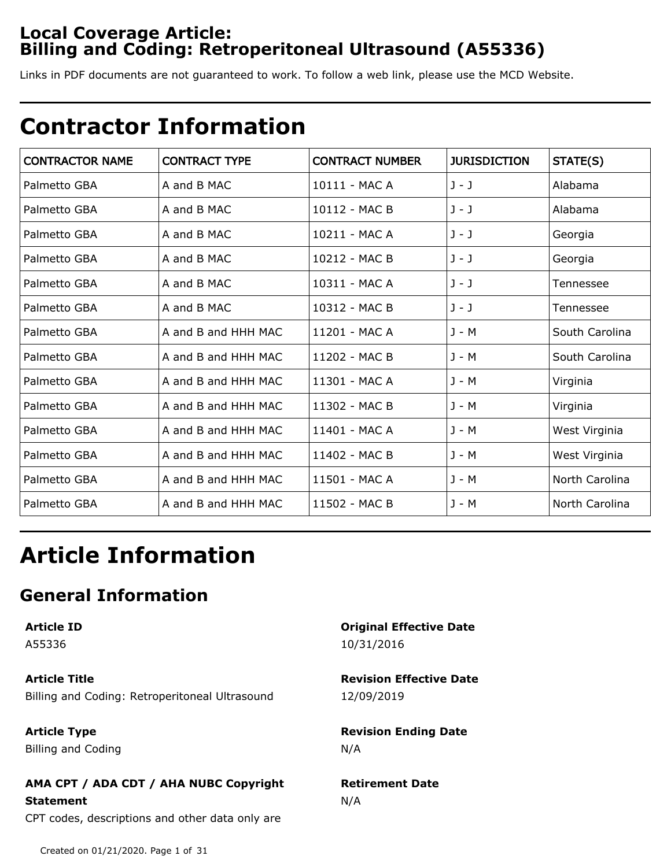## **Local Coverage Article: Billing and Coding: Retroperitoneal Ultrasound (A55336)**

Links in PDF documents are not guaranteed to work. To follow a web link, please use the MCD Website.

# **Contractor Information**

| <b>CONTRACTOR NAME</b> | <b>CONTRACT TYPE</b> | <b>CONTRACT NUMBER</b> | <b>JURISDICTION</b> | STATE(S)       |
|------------------------|----------------------|------------------------|---------------------|----------------|
| Palmetto GBA           | A and B MAC          | 10111 - MAC A          | $J - J$             | Alabama        |
| Palmetto GBA           | A and B MAC          | 10112 - MAC B          | J - J               | Alabama        |
| Palmetto GBA           | A and B MAC          | 10211 - MAC A          | J - J               | Georgia        |
| Palmetto GBA           | A and B MAC          | 10212 - MAC B          | J - J               | Georgia        |
| Palmetto GBA           | A and B MAC          | 10311 - MAC A          | J - J               | Tennessee      |
| Palmetto GBA           | A and B MAC          | 10312 - MAC B          | $J - J$             | Tennessee      |
| Palmetto GBA           | A and B and HHH MAC  | 11201 - MAC A          | J - M               | South Carolina |
| Palmetto GBA           | A and B and HHH MAC  | 11202 - MAC B          | $J - M$             | South Carolina |
| Palmetto GBA           | A and B and HHH MAC  | 11301 - MAC A          | J - M               | Virginia       |
| Palmetto GBA           | A and B and HHH MAC  | 11302 - MAC B          | $J - M$             | Virginia       |
| Palmetto GBA           | A and B and HHH MAC  | 11401 - MAC A          | $J - M$             | West Virginia  |
| Palmetto GBA           | A and B and HHH MAC  | 11402 - MAC B          | J - M               | West Virginia  |
| Palmetto GBA           | A and B and HHH MAC  | 11501 - MAC A          | $J - M$             | North Carolina |
| Palmetto GBA           | A and B and HHH MAC  | 11502 - MAC B          | J - M               | North Carolina |

# **Article Information**

# **General Information**

**Article ID**

A55336

**Article Title** Billing and Coding: Retroperitoneal Ultrasound

**Article Type** Billing and Coding

### **Original Effective Date** 10/31/2016

**Revision Effective Date** 12/09/2019

**Revision Ending Date** N/A

## **AMA CPT / ADA CDT / AHA NUBC Copyright Statement** CPT codes, descriptions and other data only are

**Retirement Date** N/A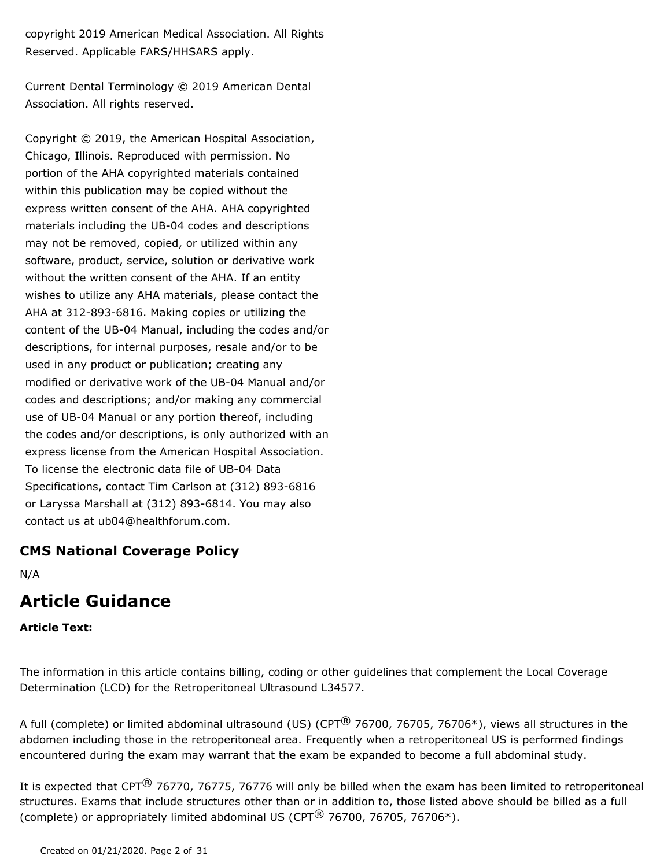copyright 2019 American Medical Association. All Rights Reserved. Applicable FARS/HHSARS apply.

Current Dental Terminology © 2019 American Dental Association. All rights reserved.

Copyright © 2019, the American Hospital Association, Chicago, Illinois. Reproduced with permission. No portion of the AHA copyrighted materials contained within this publication may be copied without the express written consent of the AHA. AHA copyrighted materials including the UB-04 codes and descriptions may not be removed, copied, or utilized within any software, product, service, solution or derivative work without the written consent of the AHA. If an entity wishes to utilize any AHA materials, please contact the AHA at 312-893-6816. Making copies or utilizing the content of the UB-04 Manual, including the codes and/or descriptions, for internal purposes, resale and/or to be used in any product or publication; creating any modified or derivative work of the UB-04 Manual and/or codes and descriptions; and/or making any commercial use of UB-04 Manual or any portion thereof, including the codes and/or descriptions, is only authorized with an express license from the American Hospital Association. To license the electronic data file of UB-04 Data Specifications, contact Tim Carlson at (312) 893-6816 or Laryssa Marshall at (312) 893-6814. You may also contact us at ub04@healthforum.com.

## **CMS National Coverage Policy**

N/A

## **Article Guidance**

#### **Article Text:**

The information in this article contains billing, coding or other guidelines that complement the Local Coverage Determination (LCD) for the Retroperitoneal Ultrasound L34577.

A full (complete) or limited abdominal ultrasound (US) (CPT $^{\circledR}$  76700, 76705, 76706\*), views all structures in the abdomen including those in the retroperitoneal area. Frequently when a retroperitoneal US is performed findings encountered during the exam may warrant that the exam be expanded to become a full abdominal study.

It is expected that CPT $^{\circledR}$  76770, 76775, 76776 will only be billed when the exam has been limited to retroperitoneal structures. Exams that include structures other than or in addition to, those listed above should be billed as a full (complete) or appropriately limited abdominal US (CPT $\textcircled{8}$  76700, 76705, 76706\*).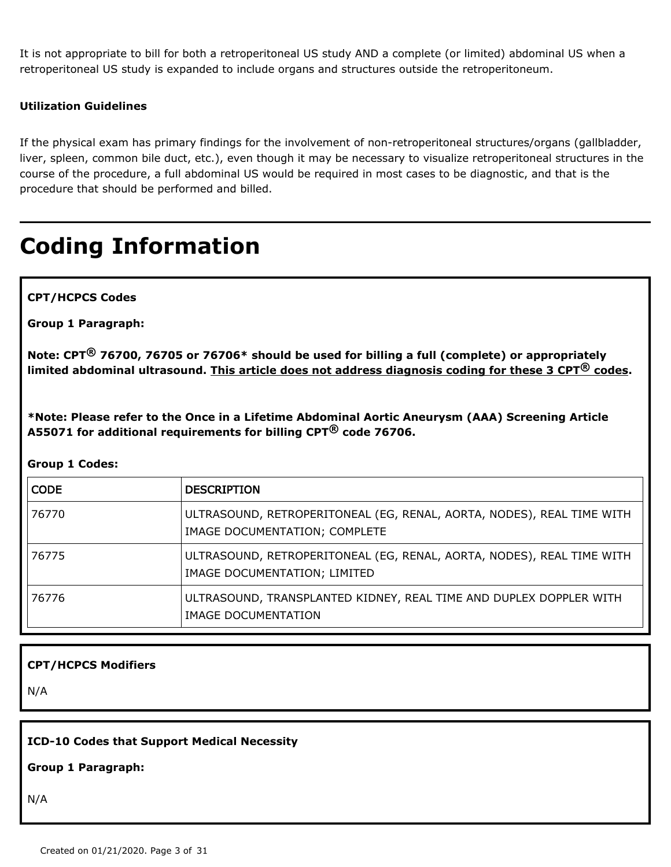It is not appropriate to bill for both a retroperitoneal US study AND a complete (or limited) abdominal US when a retroperitoneal US study is expanded to include organs and structures outside the retroperitoneum.

#### **Utilization Guidelines**

If the physical exam has primary findings for the involvement of non-retroperitoneal structures/organs (gallbladder, liver, spleen, common bile duct, etc.), even though it may be necessary to visualize retroperitoneal structures in the course of the procedure, a full abdominal US would be required in most cases to be diagnostic, and that is the procedure that should be performed and billed.

# **Coding Information**

**CPT/HCPCS Codes**

**Group 1 Paragraph:**

**Note: CPT® 76700, 76705 or 76706\* should be used for billing a full (complete) or appropriately limited abdominal ultrasound. This article does not address diagnosis coding for these 3 CPT® codes.** 

**\*Note: Please refer to the Once in a Lifetime Abdominal Aortic Aneurysm (AAA) Screening Article A55071 for additional requirements for billing CPT® code 76706.**

#### **Group 1 Codes:**

| <b>CODE</b> | <b>DESCRIPTION</b>                                                                                     |
|-------------|--------------------------------------------------------------------------------------------------------|
| 76770       | ULTRASOUND, RETROPERITONEAL (EG, RENAL, AORTA, NODES), REAL TIME WITH<br>IMAGE DOCUMENTATION; COMPLETE |
| 76775       | ULTRASOUND, RETROPERITONEAL (EG, RENAL, AORTA, NODES), REAL TIME WITH<br>IMAGE DOCUMENTATION; LIMITED  |
| 76776       | ULTRASOUND, TRANSPLANTED KIDNEY, REAL TIME AND DUPLEX DOPPLER WITH<br>IMAGE DOCUMENTATION              |

#### **CPT/HCPCS Modifiers**

N/A

#### **ICD-10 Codes that Support Medical Necessity**

#### **Group 1 Paragraph:**

N/A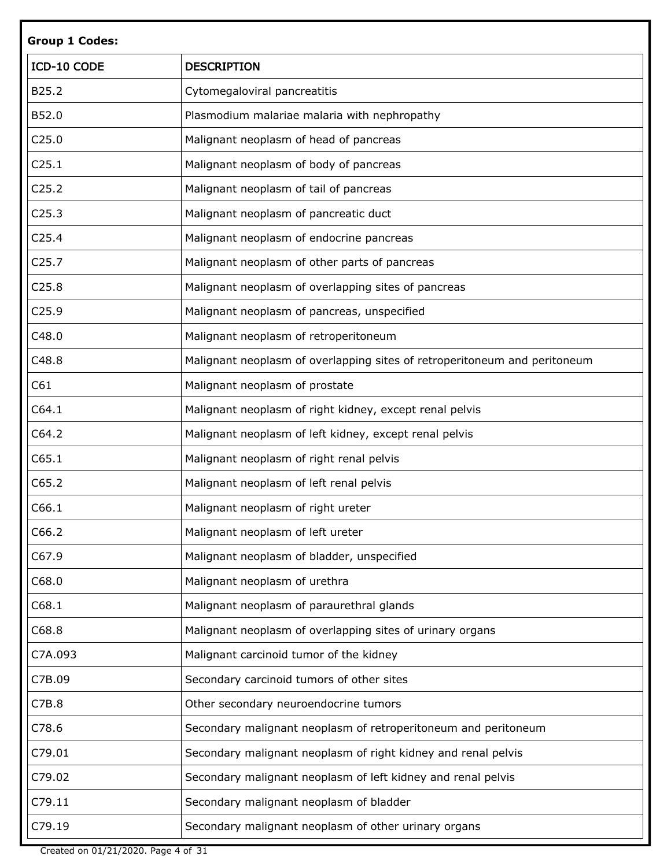| <b>Group 1 Codes:</b> |                                                                           |
|-----------------------|---------------------------------------------------------------------------|
| ICD-10 CODE           | <b>DESCRIPTION</b>                                                        |
| B25.2                 | Cytomegaloviral pancreatitis                                              |
| B52.0                 | Plasmodium malariae malaria with nephropathy                              |
| C25.0                 | Malignant neoplasm of head of pancreas                                    |
| C <sub>25.1</sub>     | Malignant neoplasm of body of pancreas                                    |
| C <sub>25.2</sub>     | Malignant neoplasm of tail of pancreas                                    |
| C <sub>25.3</sub>     | Malignant neoplasm of pancreatic duct                                     |
| C <sub>25.4</sub>     | Malignant neoplasm of endocrine pancreas                                  |
| C <sub>25.7</sub>     | Malignant neoplasm of other parts of pancreas                             |
| C <sub>25.8</sub>     | Malignant neoplasm of overlapping sites of pancreas                       |
| C <sub>25.9</sub>     | Malignant neoplasm of pancreas, unspecified                               |
| C48.0                 | Malignant neoplasm of retroperitoneum                                     |
| C48.8                 | Malignant neoplasm of overlapping sites of retroperitoneum and peritoneum |
| C61                   | Malignant neoplasm of prostate                                            |
| C64.1                 | Malignant neoplasm of right kidney, except renal pelvis                   |
| C64.2                 | Malignant neoplasm of left kidney, except renal pelvis                    |
| C65.1                 | Malignant neoplasm of right renal pelvis                                  |
| C65.2                 | Malignant neoplasm of left renal pelvis                                   |
| C66.1                 | Malignant neoplasm of right ureter                                        |
| C66.2                 | Malignant neoplasm of left ureter                                         |
| C67.9                 | Malignant neoplasm of bladder, unspecified                                |
| C68.0                 | Malignant neoplasm of urethra                                             |
| C68.1                 | Malignant neoplasm of paraurethral glands                                 |
| C68.8                 | Malignant neoplasm of overlapping sites of urinary organs                 |
| C7A.093               | Malignant carcinoid tumor of the kidney                                   |
| C7B.09                | Secondary carcinoid tumors of other sites                                 |
| C7B.8                 | Other secondary neuroendocrine tumors                                     |
| C78.6                 | Secondary malignant neoplasm of retroperitoneum and peritoneum            |
| C79.01                | Secondary malignant neoplasm of right kidney and renal pelvis             |
| C79.02                | Secondary malignant neoplasm of left kidney and renal pelvis              |
| C79.11                | Secondary malignant neoplasm of bladder                                   |
| C79.19                | Secondary malignant neoplasm of other urinary organs                      |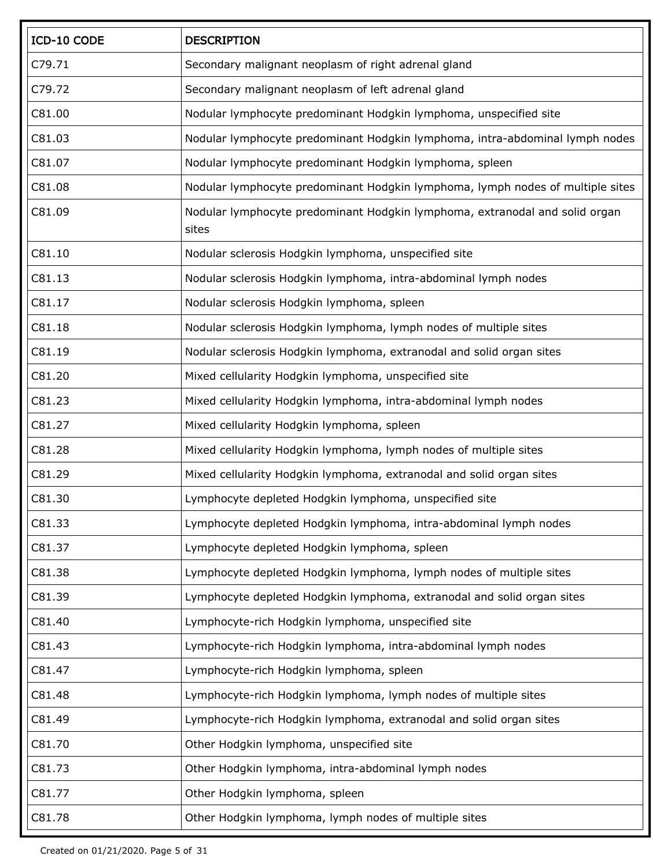| ICD-10 CODE | <b>DESCRIPTION</b>                                                                   |
|-------------|--------------------------------------------------------------------------------------|
| C79.71      | Secondary malignant neoplasm of right adrenal gland                                  |
| C79.72      | Secondary malignant neoplasm of left adrenal gland                                   |
| C81.00      | Nodular lymphocyte predominant Hodgkin lymphoma, unspecified site                    |
| C81.03      | Nodular lymphocyte predominant Hodgkin lymphoma, intra-abdominal lymph nodes         |
| C81.07      | Nodular lymphocyte predominant Hodgkin lymphoma, spleen                              |
| C81.08      | Nodular lymphocyte predominant Hodgkin lymphoma, lymph nodes of multiple sites       |
| C81.09      | Nodular lymphocyte predominant Hodgkin lymphoma, extranodal and solid organ<br>sites |
| C81.10      | Nodular sclerosis Hodgkin lymphoma, unspecified site                                 |
| C81.13      | Nodular sclerosis Hodgkin lymphoma, intra-abdominal lymph nodes                      |
| C81.17      | Nodular sclerosis Hodgkin lymphoma, spleen                                           |
| C81.18      | Nodular sclerosis Hodgkin lymphoma, lymph nodes of multiple sites                    |
| C81.19      | Nodular sclerosis Hodgkin lymphoma, extranodal and solid organ sites                 |
| C81.20      | Mixed cellularity Hodgkin lymphoma, unspecified site                                 |
| C81.23      | Mixed cellularity Hodgkin lymphoma, intra-abdominal lymph nodes                      |
| C81.27      | Mixed cellularity Hodgkin lymphoma, spleen                                           |
| C81.28      | Mixed cellularity Hodgkin lymphoma, lymph nodes of multiple sites                    |
| C81.29      | Mixed cellularity Hodgkin lymphoma, extranodal and solid organ sites                 |
| C81.30      | Lymphocyte depleted Hodgkin lymphoma, unspecified site                               |
| C81.33      | Lymphocyte depleted Hodgkin lymphoma, intra-abdominal lymph nodes                    |
| C81.37      | Lymphocyte depleted Hodgkin lymphoma, spleen                                         |
| C81.38      | Lymphocyte depleted Hodgkin lymphoma, lymph nodes of multiple sites                  |
| C81.39      | Lymphocyte depleted Hodgkin lymphoma, extranodal and solid organ sites               |
| C81.40      | Lymphocyte-rich Hodgkin lymphoma, unspecified site                                   |
| C81.43      | Lymphocyte-rich Hodgkin lymphoma, intra-abdominal lymph nodes                        |
| C81.47      | Lymphocyte-rich Hodgkin lymphoma, spleen                                             |
| C81.48      | Lymphocyte-rich Hodgkin lymphoma, lymph nodes of multiple sites                      |
| C81.49      | Lymphocyte-rich Hodgkin lymphoma, extranodal and solid organ sites                   |
| C81.70      | Other Hodgkin lymphoma, unspecified site                                             |
| C81.73      | Other Hodgkin lymphoma, intra-abdominal lymph nodes                                  |
| C81.77      | Other Hodgkin lymphoma, spleen                                                       |
| C81.78      | Other Hodgkin lymphoma, lymph nodes of multiple sites                                |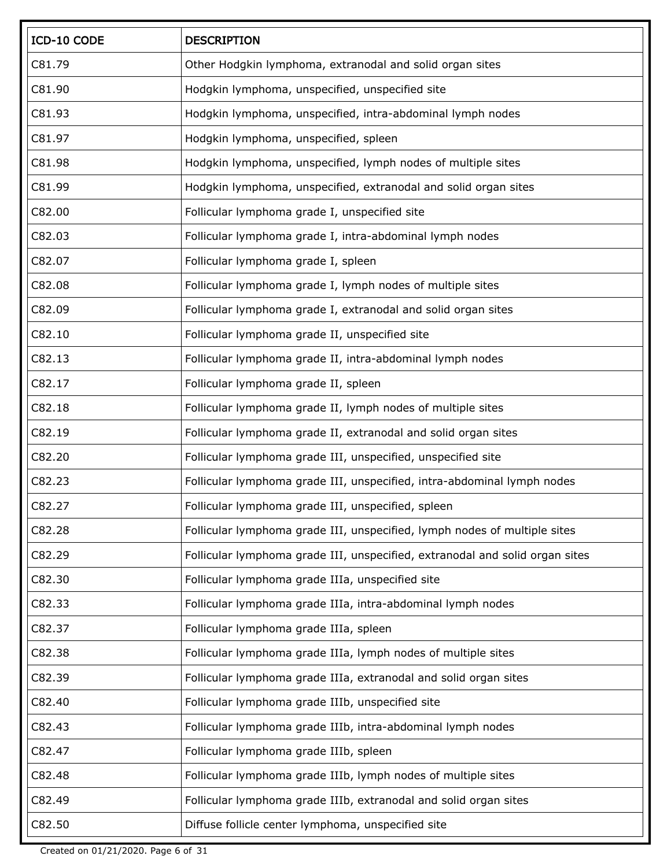| ICD-10 CODE | <b>DESCRIPTION</b>                                                           |
|-------------|------------------------------------------------------------------------------|
| C81.79      | Other Hodgkin lymphoma, extranodal and solid organ sites                     |
| C81.90      | Hodgkin lymphoma, unspecified, unspecified site                              |
| C81.93      | Hodgkin lymphoma, unspecified, intra-abdominal lymph nodes                   |
| C81.97      | Hodgkin lymphoma, unspecified, spleen                                        |
| C81.98      | Hodgkin lymphoma, unspecified, lymph nodes of multiple sites                 |
| C81.99      | Hodgkin lymphoma, unspecified, extranodal and solid organ sites              |
| C82.00      | Follicular lymphoma grade I, unspecified site                                |
| C82.03      | Follicular lymphoma grade I, intra-abdominal lymph nodes                     |
| C82.07      | Follicular lymphoma grade I, spleen                                          |
| C82.08      | Follicular lymphoma grade I, lymph nodes of multiple sites                   |
| C82.09      | Follicular lymphoma grade I, extranodal and solid organ sites                |
| C82.10      | Follicular lymphoma grade II, unspecified site                               |
| C82.13      | Follicular lymphoma grade II, intra-abdominal lymph nodes                    |
| C82.17      | Follicular lymphoma grade II, spleen                                         |
| C82.18      | Follicular lymphoma grade II, lymph nodes of multiple sites                  |
| C82.19      | Follicular lymphoma grade II, extranodal and solid organ sites               |
| C82.20      | Follicular lymphoma grade III, unspecified, unspecified site                 |
| C82.23      | Follicular lymphoma grade III, unspecified, intra-abdominal lymph nodes      |
| C82.27      | Follicular lymphoma grade III, unspecified, spleen                           |
| C82.28      | Follicular lymphoma grade III, unspecified, lymph nodes of multiple sites    |
| C82.29      | Follicular lymphoma grade III, unspecified, extranodal and solid organ sites |
| C82.30      | Follicular lymphoma grade IIIa, unspecified site                             |
| C82.33      | Follicular lymphoma grade IIIa, intra-abdominal lymph nodes                  |
| C82.37      | Follicular lymphoma grade IIIa, spleen                                       |
| C82.38      | Follicular lymphoma grade IIIa, lymph nodes of multiple sites                |
| C82.39      | Follicular lymphoma grade IIIa, extranodal and solid organ sites             |
| C82.40      | Follicular lymphoma grade IIIb, unspecified site                             |
| C82.43      | Follicular lymphoma grade IIIb, intra-abdominal lymph nodes                  |
| C82.47      | Follicular lymphoma grade IIIb, spleen                                       |
| C82.48      | Follicular lymphoma grade IIIb, lymph nodes of multiple sites                |
| C82.49      | Follicular lymphoma grade IIIb, extranodal and solid organ sites             |
| C82.50      | Diffuse follicle center lymphoma, unspecified site                           |

Created on 01/21/2020. Page 6 of 31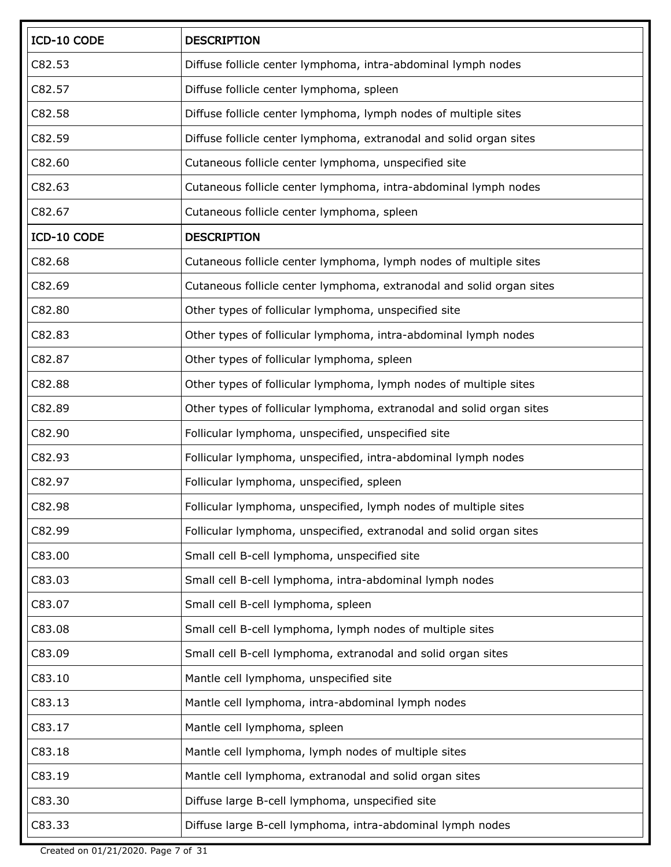| ICD-10 CODE | <b>DESCRIPTION</b>                                                   |
|-------------|----------------------------------------------------------------------|
| C82.53      | Diffuse follicle center lymphoma, intra-abdominal lymph nodes        |
| C82.57      | Diffuse follicle center lymphoma, spleen                             |
| C82.58      | Diffuse follicle center lymphoma, lymph nodes of multiple sites      |
| C82.59      | Diffuse follicle center lymphoma, extranodal and solid organ sites   |
| C82.60      | Cutaneous follicle center lymphoma, unspecified site                 |
| C82.63      | Cutaneous follicle center lymphoma, intra-abdominal lymph nodes      |
| C82.67      | Cutaneous follicle center lymphoma, spleen                           |
| ICD-10 CODE | <b>DESCRIPTION</b>                                                   |
| C82.68      | Cutaneous follicle center lymphoma, lymph nodes of multiple sites    |
| C82.69      | Cutaneous follicle center lymphoma, extranodal and solid organ sites |
| C82.80      | Other types of follicular lymphoma, unspecified site                 |
| C82.83      | Other types of follicular lymphoma, intra-abdominal lymph nodes      |
| C82.87      | Other types of follicular lymphoma, spleen                           |
| C82.88      | Other types of follicular lymphoma, lymph nodes of multiple sites    |
| C82.89      | Other types of follicular lymphoma, extranodal and solid organ sites |
| C82.90      | Follicular lymphoma, unspecified, unspecified site                   |
| C82.93      | Follicular lymphoma, unspecified, intra-abdominal lymph nodes        |
| C82.97      | Follicular lymphoma, unspecified, spleen                             |
| C82.98      | Follicular lymphoma, unspecified, lymph nodes of multiple sites      |
| C82.99      | Follicular lymphoma, unspecified, extranodal and solid organ sites   |
| C83.00      | Small cell B-cell lymphoma, unspecified site                         |
| C83.03      | Small cell B-cell lymphoma, intra-abdominal lymph nodes              |
| C83.07      | Small cell B-cell lymphoma, spleen                                   |
| C83.08      | Small cell B-cell lymphoma, lymph nodes of multiple sites            |
| C83.09      | Small cell B-cell lymphoma, extranodal and solid organ sites         |
| C83.10      | Mantle cell lymphoma, unspecified site                               |
| C83.13      | Mantle cell lymphoma, intra-abdominal lymph nodes                    |
| C83.17      | Mantle cell lymphoma, spleen                                         |
| C83.18      | Mantle cell lymphoma, lymph nodes of multiple sites                  |
| C83.19      | Mantle cell lymphoma, extranodal and solid organ sites               |
| C83.30      | Diffuse large B-cell lymphoma, unspecified site                      |
| C83.33      | Diffuse large B-cell lymphoma, intra-abdominal lymph nodes           |

Created on 01/21/2020. Page 7 of 31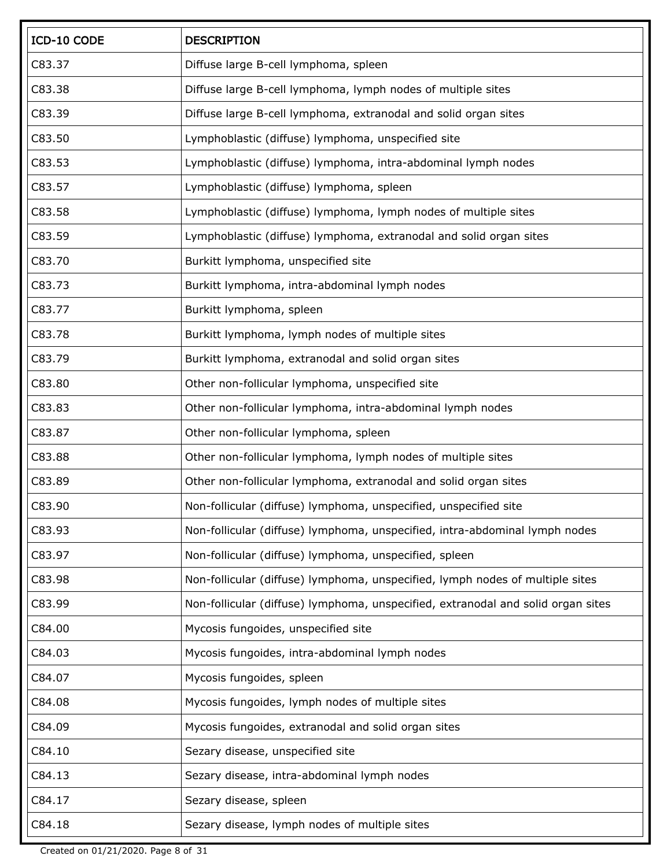| ICD-10 CODE | <b>DESCRIPTION</b>                                                               |
|-------------|----------------------------------------------------------------------------------|
| C83.37      | Diffuse large B-cell lymphoma, spleen                                            |
| C83.38      | Diffuse large B-cell lymphoma, lymph nodes of multiple sites                     |
| C83.39      | Diffuse large B-cell lymphoma, extranodal and solid organ sites                  |
| C83.50      | Lymphoblastic (diffuse) lymphoma, unspecified site                               |
| C83.53      | Lymphoblastic (diffuse) lymphoma, intra-abdominal lymph nodes                    |
| C83.57      | Lymphoblastic (diffuse) lymphoma, spleen                                         |
| C83.58      | Lymphoblastic (diffuse) lymphoma, lymph nodes of multiple sites                  |
| C83.59      | Lymphoblastic (diffuse) lymphoma, extranodal and solid organ sites               |
| C83.70      | Burkitt lymphoma, unspecified site                                               |
| C83.73      | Burkitt lymphoma, intra-abdominal lymph nodes                                    |
| C83.77      | Burkitt lymphoma, spleen                                                         |
| C83.78      | Burkitt lymphoma, lymph nodes of multiple sites                                  |
| C83.79      | Burkitt lymphoma, extranodal and solid organ sites                               |
| C83.80      | Other non-follicular lymphoma, unspecified site                                  |
| C83.83      | Other non-follicular lymphoma, intra-abdominal lymph nodes                       |
| C83.87      | Other non-follicular lymphoma, spleen                                            |
| C83.88      | Other non-follicular lymphoma, lymph nodes of multiple sites                     |
| C83.89      | Other non-follicular lymphoma, extranodal and solid organ sites                  |
| C83.90      | Non-follicular (diffuse) lymphoma, unspecified, unspecified site                 |
| C83.93      | Non-follicular (diffuse) lymphoma, unspecified, intra-abdominal lymph nodes      |
| C83.97      | Non-follicular (diffuse) lymphoma, unspecified, spleen                           |
| C83.98      | Non-follicular (diffuse) lymphoma, unspecified, lymph nodes of multiple sites    |
| C83.99      | Non-follicular (diffuse) lymphoma, unspecified, extranodal and solid organ sites |
| C84.00      | Mycosis fungoides, unspecified site                                              |
| C84.03      | Mycosis fungoides, intra-abdominal lymph nodes                                   |
| C84.07      | Mycosis fungoides, spleen                                                        |
| C84.08      | Mycosis fungoides, lymph nodes of multiple sites                                 |
| C84.09      | Mycosis fungoides, extranodal and solid organ sites                              |
| C84.10      | Sezary disease, unspecified site                                                 |
| C84.13      | Sezary disease, intra-abdominal lymph nodes                                      |
| C84.17      | Sezary disease, spleen                                                           |
| C84.18      | Sezary disease, lymph nodes of multiple sites                                    |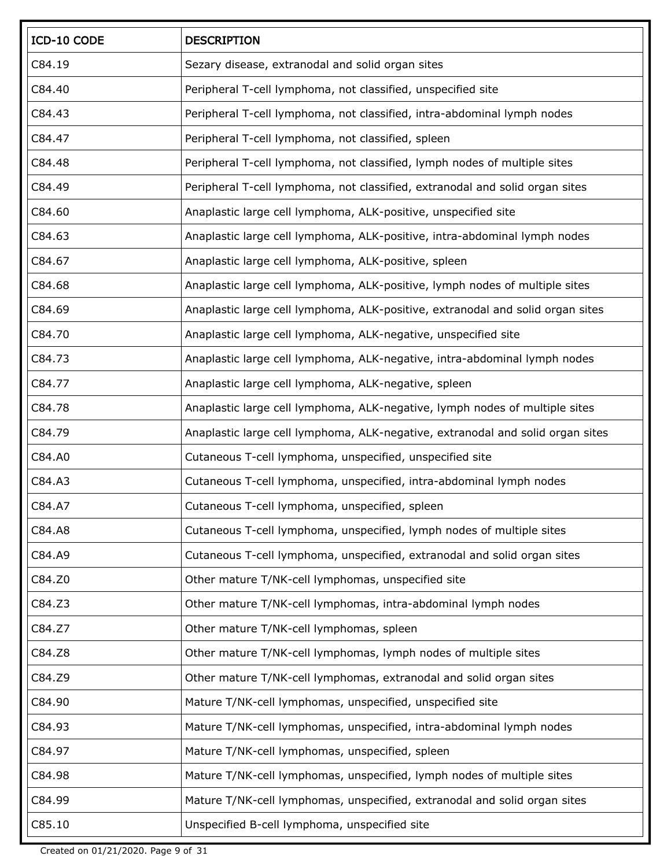| ICD-10 CODE | <b>DESCRIPTION</b>                                                             |
|-------------|--------------------------------------------------------------------------------|
| C84.19      | Sezary disease, extranodal and solid organ sites                               |
| C84.40      | Peripheral T-cell lymphoma, not classified, unspecified site                   |
| C84.43      | Peripheral T-cell lymphoma, not classified, intra-abdominal lymph nodes        |
| C84.47      | Peripheral T-cell lymphoma, not classified, spleen                             |
| C84.48      | Peripheral T-cell lymphoma, not classified, lymph nodes of multiple sites      |
| C84.49      | Peripheral T-cell lymphoma, not classified, extranodal and solid organ sites   |
| C84.60      | Anaplastic large cell lymphoma, ALK-positive, unspecified site                 |
| C84.63      | Anaplastic large cell lymphoma, ALK-positive, intra-abdominal lymph nodes      |
| C84.67      | Anaplastic large cell lymphoma, ALK-positive, spleen                           |
| C84.68      | Anaplastic large cell lymphoma, ALK-positive, lymph nodes of multiple sites    |
| C84.69      | Anaplastic large cell lymphoma, ALK-positive, extranodal and solid organ sites |
| C84.70      | Anaplastic large cell lymphoma, ALK-negative, unspecified site                 |
| C84.73      | Anaplastic large cell lymphoma, ALK-negative, intra-abdominal lymph nodes      |
| C84.77      | Anaplastic large cell lymphoma, ALK-negative, spleen                           |
| C84.78      | Anaplastic large cell lymphoma, ALK-negative, lymph nodes of multiple sites    |
| C84.79      | Anaplastic large cell lymphoma, ALK-negative, extranodal and solid organ sites |
| C84.A0      | Cutaneous T-cell lymphoma, unspecified, unspecified site                       |
| C84.A3      | Cutaneous T-cell lymphoma, unspecified, intra-abdominal lymph nodes            |
| C84.A7      | Cutaneous T-cell lymphoma, unspecified, spleen                                 |
| C84.A8      | Cutaneous T-cell lymphoma, unspecified, lymph nodes of multiple sites          |
| C84.A9      | Cutaneous T-cell lymphoma, unspecified, extranodal and solid organ sites       |
| C84.Z0      | Other mature T/NK-cell lymphomas, unspecified site                             |
| C84.Z3      | Other mature T/NK-cell lymphomas, intra-abdominal lymph nodes                  |
| C84.Z7      | Other mature T/NK-cell lymphomas, spleen                                       |
| C84.Z8      | Other mature T/NK-cell lymphomas, lymph nodes of multiple sites                |
| C84.Z9      | Other mature T/NK-cell lymphomas, extranodal and solid organ sites             |
| C84.90      | Mature T/NK-cell lymphomas, unspecified, unspecified site                      |
| C84.93      | Mature T/NK-cell lymphomas, unspecified, intra-abdominal lymph nodes           |
| C84.97      | Mature T/NK-cell lymphomas, unspecified, spleen                                |
| C84.98      | Mature T/NK-cell lymphomas, unspecified, lymph nodes of multiple sites         |
| C84.99      | Mature T/NK-cell lymphomas, unspecified, extranodal and solid organ sites      |
| C85.10      | Unspecified B-cell lymphoma, unspecified site                                  |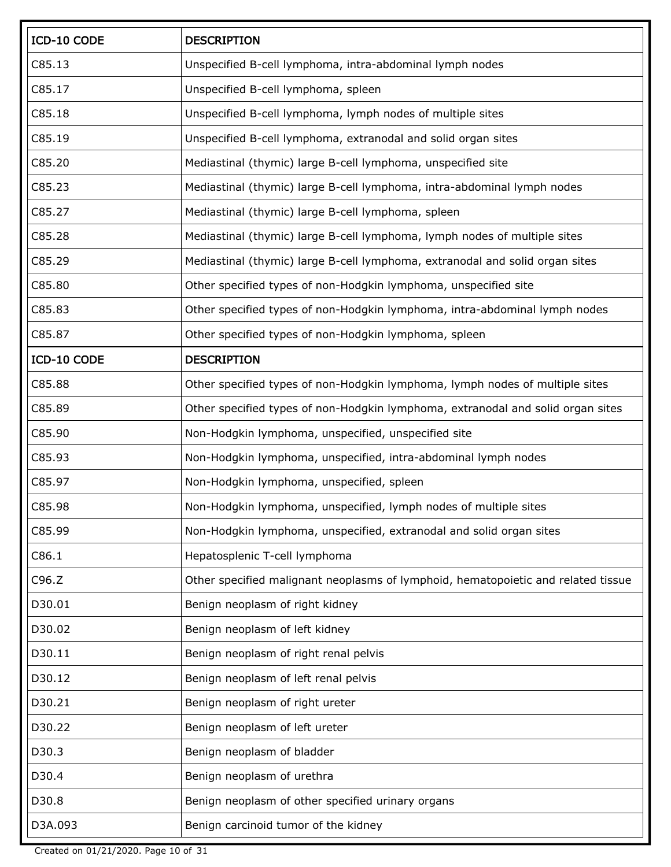| ICD-10 CODE | <b>DESCRIPTION</b>                                                                |
|-------------|-----------------------------------------------------------------------------------|
| C85.13      | Unspecified B-cell lymphoma, intra-abdominal lymph nodes                          |
| C85.17      | Unspecified B-cell lymphoma, spleen                                               |
| C85.18      | Unspecified B-cell lymphoma, lymph nodes of multiple sites                        |
| C85.19      | Unspecified B-cell lymphoma, extranodal and solid organ sites                     |
| C85.20      | Mediastinal (thymic) large B-cell lymphoma, unspecified site                      |
| C85.23      | Mediastinal (thymic) large B-cell lymphoma, intra-abdominal lymph nodes           |
| C85.27      | Mediastinal (thymic) large B-cell lymphoma, spleen                                |
| C85.28      | Mediastinal (thymic) large B-cell lymphoma, lymph nodes of multiple sites         |
| C85.29      | Mediastinal (thymic) large B-cell lymphoma, extranodal and solid organ sites      |
| C85.80      | Other specified types of non-Hodgkin lymphoma, unspecified site                   |
| C85.83      | Other specified types of non-Hodgkin lymphoma, intra-abdominal lymph nodes        |
| C85.87      | Other specified types of non-Hodgkin lymphoma, spleen                             |
| ICD-10 CODE | <b>DESCRIPTION</b>                                                                |
| C85.88      | Other specified types of non-Hodgkin lymphoma, lymph nodes of multiple sites      |
| C85.89      | Other specified types of non-Hodgkin lymphoma, extranodal and solid organ sites   |
| C85.90      | Non-Hodgkin lymphoma, unspecified, unspecified site                               |
| C85.93      | Non-Hodgkin lymphoma, unspecified, intra-abdominal lymph nodes                    |
| C85.97      | Non-Hodgkin lymphoma, unspecified, spleen                                         |
| C85.98      | Non-Hodgkin lymphoma, unspecified, lymph nodes of multiple sites                  |
| C85.99      | Non-Hodgkin lymphoma, unspecified, extranodal and solid organ sites               |
| C86.1       | Hepatosplenic T-cell lymphoma                                                     |
| C96.Z       | Other specified malignant neoplasms of lymphoid, hematopoietic and related tissue |
| D30.01      | Benign neoplasm of right kidney                                                   |
| D30.02      | Benign neoplasm of left kidney                                                    |
| D30.11      | Benign neoplasm of right renal pelvis                                             |
| D30.12      | Benign neoplasm of left renal pelvis                                              |
| D30.21      | Benign neoplasm of right ureter                                                   |
| D30.22      | Benign neoplasm of left ureter                                                    |
| D30.3       | Benign neoplasm of bladder                                                        |
| D30.4       | Benign neoplasm of urethra                                                        |
| D30.8       | Benign neoplasm of other specified urinary organs                                 |
| D3A.093     | Benign carcinoid tumor of the kidney                                              |

Created on 01/21/2020. Page 10 of 31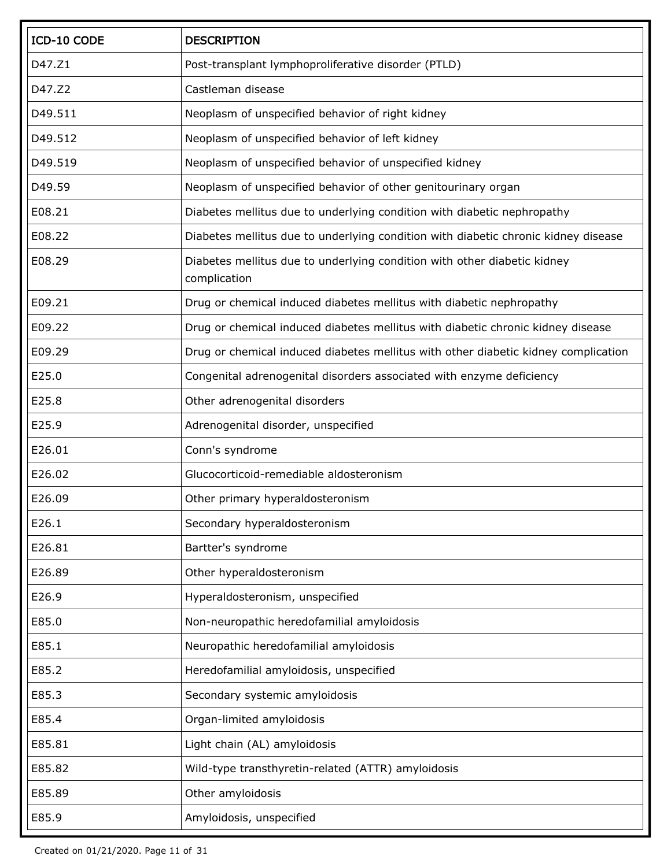| ICD-10 CODE | <b>DESCRIPTION</b>                                                                       |
|-------------|------------------------------------------------------------------------------------------|
| D47.Z1      | Post-transplant lymphoproliferative disorder (PTLD)                                      |
| D47.Z2      | Castleman disease                                                                        |
| D49.511     | Neoplasm of unspecified behavior of right kidney                                         |
| D49.512     | Neoplasm of unspecified behavior of left kidney                                          |
| D49.519     | Neoplasm of unspecified behavior of unspecified kidney                                   |
| D49.59      | Neoplasm of unspecified behavior of other genitourinary organ                            |
| E08.21      | Diabetes mellitus due to underlying condition with diabetic nephropathy                  |
| E08.22      | Diabetes mellitus due to underlying condition with diabetic chronic kidney disease       |
| E08.29      | Diabetes mellitus due to underlying condition with other diabetic kidney<br>complication |
| E09.21      | Drug or chemical induced diabetes mellitus with diabetic nephropathy                     |
| E09.22      | Drug or chemical induced diabetes mellitus with diabetic chronic kidney disease          |
| E09.29      | Drug or chemical induced diabetes mellitus with other diabetic kidney complication       |
| E25.0       | Congenital adrenogenital disorders associated with enzyme deficiency                     |
| E25.8       | Other adrenogenital disorders                                                            |
| E25.9       | Adrenogenital disorder, unspecified                                                      |
| E26.01      | Conn's syndrome                                                                          |
| E26.02      | Glucocorticoid-remediable aldosteronism                                                  |
| E26.09      | Other primary hyperaldosteronism                                                         |
| E26.1       | Secondary hyperaldosteronism                                                             |
| E26.81      | Bartter's syndrome                                                                       |
| E26.89      | Other hyperaldosteronism                                                                 |
| E26.9       | Hyperaldosteronism, unspecified                                                          |
| E85.0       | Non-neuropathic heredofamilial amyloidosis                                               |
| E85.1       | Neuropathic heredofamilial amyloidosis                                                   |
| E85.2       | Heredofamilial amyloidosis, unspecified                                                  |
| E85.3       | Secondary systemic amyloidosis                                                           |
| E85.4       | Organ-limited amyloidosis                                                                |
| E85.81      | Light chain (AL) amyloidosis                                                             |
| E85.82      | Wild-type transthyretin-related (ATTR) amyloidosis                                       |
| E85.89      | Other amyloidosis                                                                        |
| E85.9       | Amyloidosis, unspecified                                                                 |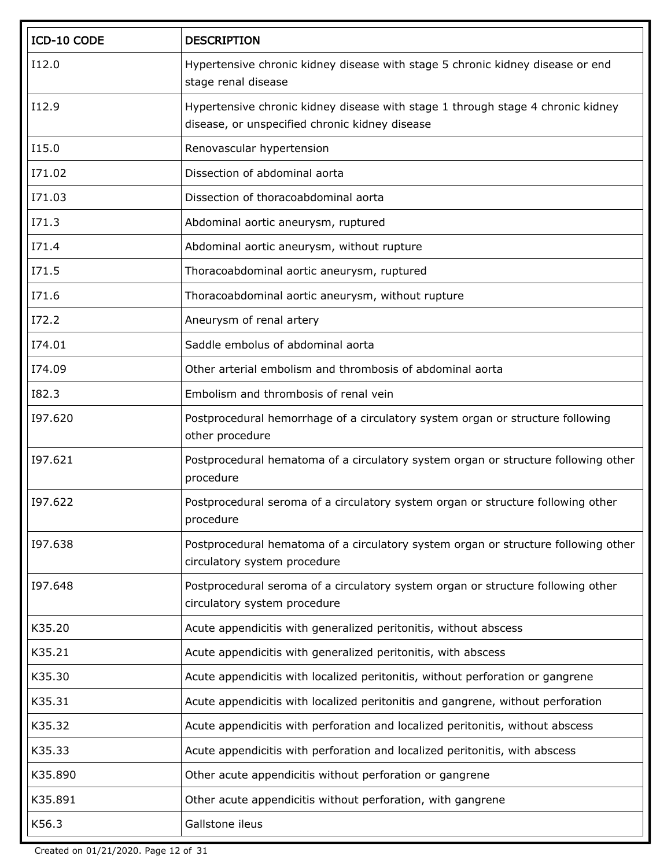| ICD-10 CODE  | <b>DESCRIPTION</b>                                                                                                                |
|--------------|-----------------------------------------------------------------------------------------------------------------------------------|
| I12.0        | Hypertensive chronic kidney disease with stage 5 chronic kidney disease or end<br>stage renal disease                             |
| I12.9        | Hypertensive chronic kidney disease with stage 1 through stage 4 chronic kidney<br>disease, or unspecified chronic kidney disease |
| I15.0        | Renovascular hypertension                                                                                                         |
| I71.02       | Dissection of abdominal aorta                                                                                                     |
| I71.03       | Dissection of thoracoabdominal aorta                                                                                              |
| I71.3        | Abdominal aortic aneurysm, ruptured                                                                                               |
| I71.4        | Abdominal aortic aneurysm, without rupture                                                                                        |
| <b>I71.5</b> | Thoracoabdominal aortic aneurysm, ruptured                                                                                        |
| I71.6        | Thoracoabdominal aortic aneurysm, without rupture                                                                                 |
| I72.2        | Aneurysm of renal artery                                                                                                          |
| I74.01       | Saddle embolus of abdominal aorta                                                                                                 |
| I74.09       | Other arterial embolism and thrombosis of abdominal aorta                                                                         |
| <b>I82.3</b> | Embolism and thrombosis of renal vein                                                                                             |
| 197.620      | Postprocedural hemorrhage of a circulatory system organ or structure following<br>other procedure                                 |
| 197.621      | Postprocedural hematoma of a circulatory system organ or structure following other<br>procedure                                   |
| 197.622      | Postprocedural seroma of a circulatory system organ or structure following other<br>procedure                                     |
| 197.638      | Postprocedural hematoma of a circulatory system organ or structure following other<br>circulatory system procedure                |
| 197.648      | Postprocedural seroma of a circulatory system organ or structure following other<br>circulatory system procedure                  |
| K35.20       | Acute appendicitis with generalized peritonitis, without abscess                                                                  |
| K35.21       | Acute appendicitis with generalized peritonitis, with abscess                                                                     |
| K35.30       | Acute appendicitis with localized peritonitis, without perforation or gangrene                                                    |
| K35.31       | Acute appendicitis with localized peritonitis and gangrene, without perforation                                                   |
| K35.32       | Acute appendicitis with perforation and localized peritonitis, without abscess                                                    |
| K35.33       | Acute appendicitis with perforation and localized peritonitis, with abscess                                                       |
| K35.890      | Other acute appendicitis without perforation or gangrene                                                                          |
| K35.891      | Other acute appendicitis without perforation, with gangrene                                                                       |
| K56.3        | Gallstone ileus                                                                                                                   |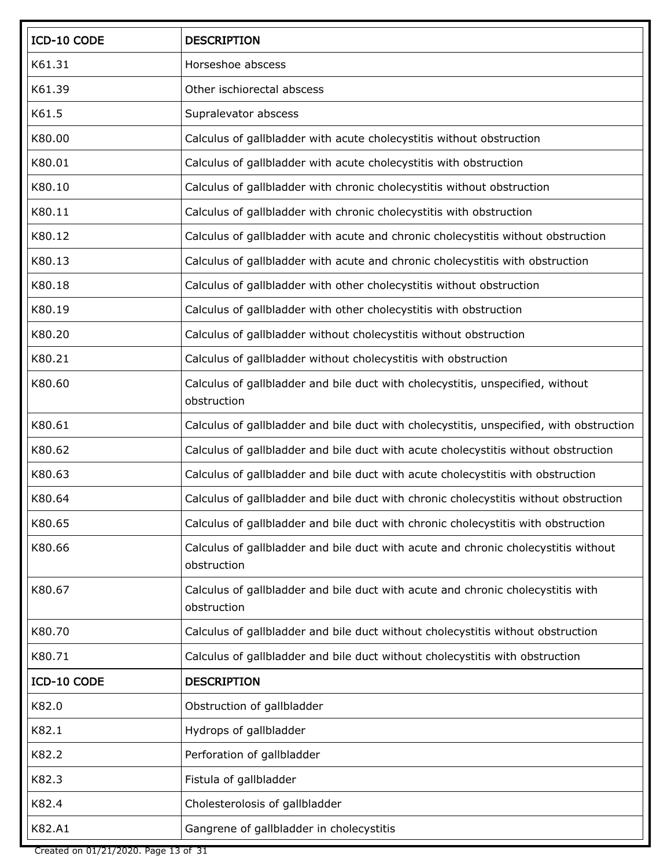| ICD-10 CODE | <b>DESCRIPTION</b>                                                                                |
|-------------|---------------------------------------------------------------------------------------------------|
| K61.31      | Horseshoe abscess                                                                                 |
| K61.39      | Other ischiorectal abscess                                                                        |
| K61.5       | Supralevator abscess                                                                              |
| K80.00      | Calculus of gallbladder with acute cholecystitis without obstruction                              |
| K80.01      | Calculus of gallbladder with acute cholecystitis with obstruction                                 |
| K80.10      | Calculus of gallbladder with chronic cholecystitis without obstruction                            |
| K80.11      | Calculus of gallbladder with chronic cholecystitis with obstruction                               |
| K80.12      | Calculus of gallbladder with acute and chronic cholecystitis without obstruction                  |
| K80.13      | Calculus of gallbladder with acute and chronic cholecystitis with obstruction                     |
| K80.18      | Calculus of gallbladder with other cholecystitis without obstruction                              |
| K80.19      | Calculus of gallbladder with other cholecystitis with obstruction                                 |
| K80.20      | Calculus of gallbladder without cholecystitis without obstruction                                 |
| K80.21      | Calculus of gallbladder without cholecystitis with obstruction                                    |
| K80.60      | Calculus of gallbladder and bile duct with cholecystitis, unspecified, without<br>obstruction     |
| K80.61      | Calculus of gallbladder and bile duct with cholecystitis, unspecified, with obstruction           |
| K80.62      | Calculus of gallbladder and bile duct with acute cholecystitis without obstruction                |
| K80.63      | Calculus of gallbladder and bile duct with acute cholecystitis with obstruction                   |
| K80.64      | Calculus of gallbladder and bile duct with chronic cholecystitis without obstruction              |
| K80.65      | Calculus of gallbladder and bile duct with chronic cholecystitis with obstruction                 |
| K80.66      | Calculus of gallbladder and bile duct with acute and chronic cholecystitis without<br>obstruction |
| K80.67      | Calculus of gallbladder and bile duct with acute and chronic cholecystitis with<br>obstruction    |
| K80.70      | Calculus of gallbladder and bile duct without cholecystitis without obstruction                   |
| K80.71      | Calculus of gallbladder and bile duct without cholecystitis with obstruction                      |
| ICD-10 CODE | <b>DESCRIPTION</b>                                                                                |
| K82.0       | Obstruction of gallbladder                                                                        |
| K82.1       | Hydrops of gallbladder                                                                            |
| K82.2       | Perforation of gallbladder                                                                        |
| K82.3       | Fistula of gallbladder                                                                            |
| K82.4       | Cholesterolosis of gallbladder                                                                    |
| K82.A1      | Gangrene of gallbladder in cholecystitis                                                          |

Created on 01/21/2020. Page 13 of 31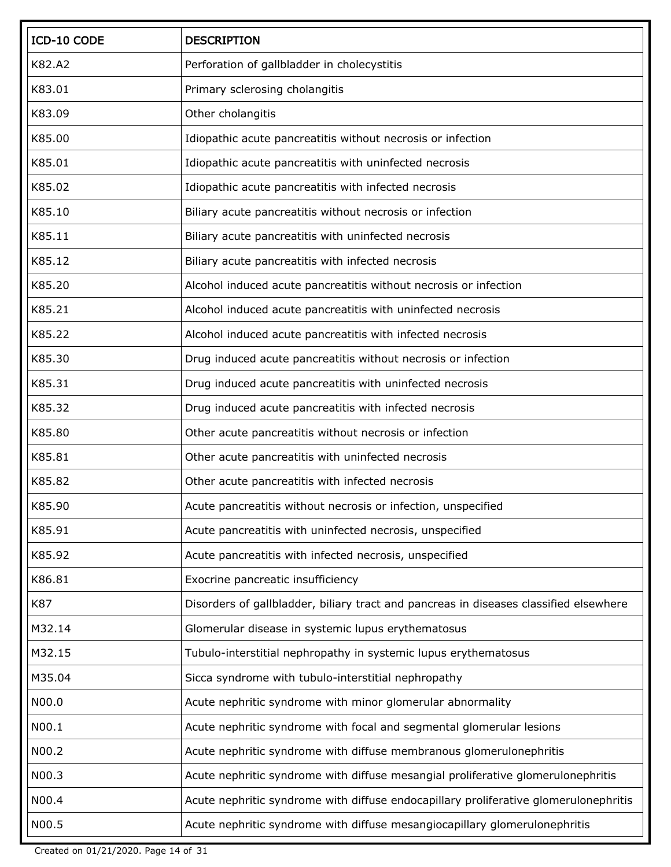| ICD-10 CODE | <b>DESCRIPTION</b>                                                                    |
|-------------|---------------------------------------------------------------------------------------|
| K82.A2      | Perforation of gallbladder in cholecystitis                                           |
| K83.01      | Primary sclerosing cholangitis                                                        |
| K83.09      | Other cholangitis                                                                     |
| K85.00      | Idiopathic acute pancreatitis without necrosis or infection                           |
| K85.01      | Idiopathic acute pancreatitis with uninfected necrosis                                |
| K85.02      | Idiopathic acute pancreatitis with infected necrosis                                  |
| K85.10      | Biliary acute pancreatitis without necrosis or infection                              |
| K85.11      | Biliary acute pancreatitis with uninfected necrosis                                   |
| K85.12      | Biliary acute pancreatitis with infected necrosis                                     |
| K85.20      | Alcohol induced acute pancreatitis without necrosis or infection                      |
| K85.21      | Alcohol induced acute pancreatitis with uninfected necrosis                           |
| K85.22      | Alcohol induced acute pancreatitis with infected necrosis                             |
| K85.30      | Drug induced acute pancreatitis without necrosis or infection                         |
| K85.31      | Drug induced acute pancreatitis with uninfected necrosis                              |
| K85.32      | Drug induced acute pancreatitis with infected necrosis                                |
| K85.80      | Other acute pancreatitis without necrosis or infection                                |
| K85.81      | Other acute pancreatitis with uninfected necrosis                                     |
| K85.82      | Other acute pancreatitis with infected necrosis                                       |
| K85.90      | Acute pancreatitis without necrosis or infection, unspecified                         |
| K85.91      | Acute pancreatitis with uninfected necrosis, unspecified                              |
| K85.92      | Acute pancreatitis with infected necrosis, unspecified                                |
| K86.81      | Exocrine pancreatic insufficiency                                                     |
| K87         | Disorders of gallbladder, biliary tract and pancreas in diseases classified elsewhere |
| M32.14      | Glomerular disease in systemic lupus erythematosus                                    |
| M32.15      | Tubulo-interstitial nephropathy in systemic lupus erythematosus                       |
| M35.04      | Sicca syndrome with tubulo-interstitial nephropathy                                   |
| N00.0       | Acute nephritic syndrome with minor glomerular abnormality                            |
| N00.1       | Acute nephritic syndrome with focal and segmental glomerular lesions                  |
| N00.2       | Acute nephritic syndrome with diffuse membranous glomerulonephritis                   |
| N00.3       | Acute nephritic syndrome with diffuse mesangial proliferative glomerulonephritis      |
| N00.4       | Acute nephritic syndrome with diffuse endocapillary proliferative glomerulonephritis  |
| N00.5       | Acute nephritic syndrome with diffuse mesangiocapillary glomerulonephritis            |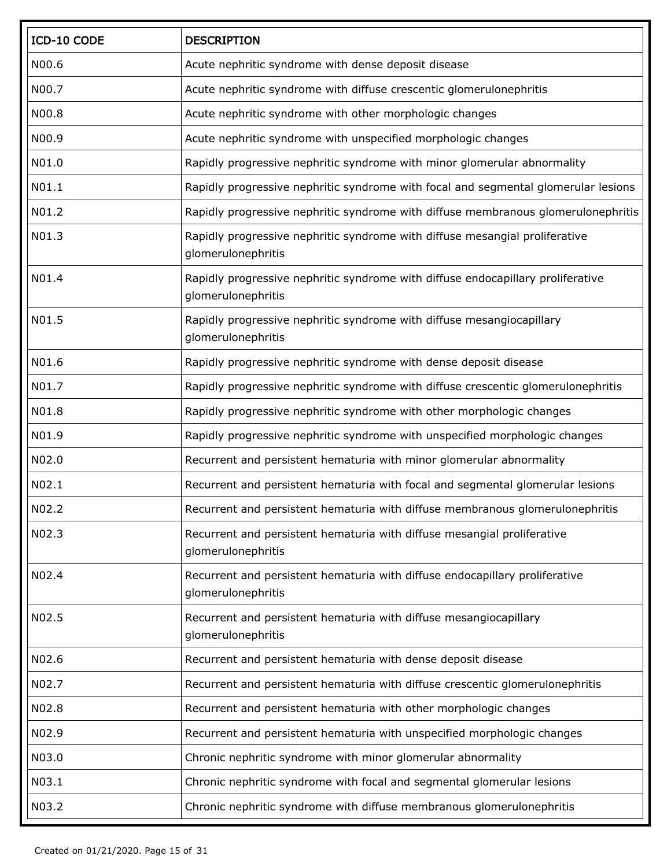| ICD-10 CODE | <b>DESCRIPTION</b>                                                                                    |
|-------------|-------------------------------------------------------------------------------------------------------|
| N00.6       | Acute nephritic syndrome with dense deposit disease                                                   |
| N00.7       | Acute nephritic syndrome with diffuse crescentic glomerulonephritis                                   |
| N00.8       | Acute nephritic syndrome with other morphologic changes                                               |
| N00.9       | Acute nephritic syndrome with unspecified morphologic changes                                         |
| N01.0       | Rapidly progressive nephritic syndrome with minor glomerular abnormality                              |
| N01.1       | Rapidly progressive nephritic syndrome with focal and segmental glomerular lesions                    |
| N01.2       | Rapidly progressive nephritic syndrome with diffuse membranous glomerulonephritis                     |
| N01.3       | Rapidly progressive nephritic syndrome with diffuse mesangial proliferative<br>glomerulonephritis     |
| N01.4       | Rapidly progressive nephritic syndrome with diffuse endocapillary proliferative<br>glomerulonephritis |
| N01.5       | Rapidly progressive nephritic syndrome with diffuse mesangiocapillary<br>glomerulonephritis           |
| N01.6       | Rapidly progressive nephritic syndrome with dense deposit disease                                     |
| N01.7       | Rapidly progressive nephritic syndrome with diffuse crescentic glomerulonephritis                     |
| N01.8       | Rapidly progressive nephritic syndrome with other morphologic changes                                 |
| N01.9       | Rapidly progressive nephritic syndrome with unspecified morphologic changes                           |
| N02.0       | Recurrent and persistent hematuria with minor glomerular abnormality                                  |
| N02.1       | Recurrent and persistent hematuria with focal and segmental glomerular lesions                        |
| N02.2       | Recurrent and persistent hematuria with diffuse membranous glomerulonephritis                         |
| N02.3       | Recurrent and persistent hematuria with diffuse mesangial proliferative<br>glomerulonephritis         |
| N02.4       | Recurrent and persistent hematuria with diffuse endocapillary proliferative<br>glomerulonephritis     |
| N02.5       | Recurrent and persistent hematuria with diffuse mesangiocapillary<br>glomerulonephritis               |
| N02.6       | Recurrent and persistent hematuria with dense deposit disease                                         |
| N02.7       | Recurrent and persistent hematuria with diffuse crescentic glomerulonephritis                         |
| N02.8       | Recurrent and persistent hematuria with other morphologic changes                                     |
| N02.9       | Recurrent and persistent hematuria with unspecified morphologic changes                               |
| N03.0       | Chronic nephritic syndrome with minor glomerular abnormality                                          |
| N03.1       | Chronic nephritic syndrome with focal and segmental glomerular lesions                                |
| N03.2       | Chronic nephritic syndrome with diffuse membranous glomerulonephritis                                 |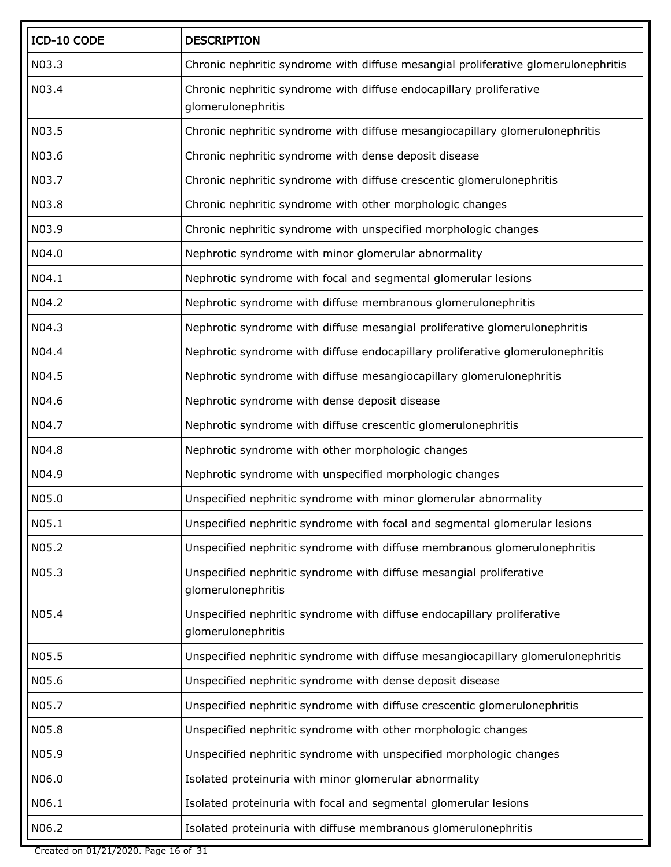| ICD-10 CODE | <b>DESCRIPTION</b>                                                                            |
|-------------|-----------------------------------------------------------------------------------------------|
| N03.3       | Chronic nephritic syndrome with diffuse mesangial proliferative glomerulonephritis            |
| N03.4       | Chronic nephritic syndrome with diffuse endocapillary proliferative<br>glomerulonephritis     |
| N03.5       | Chronic nephritic syndrome with diffuse mesangiocapillary glomerulonephritis                  |
| N03.6       | Chronic nephritic syndrome with dense deposit disease                                         |
| N03.7       | Chronic nephritic syndrome with diffuse crescentic glomerulonephritis                         |
| N03.8       | Chronic nephritic syndrome with other morphologic changes                                     |
| N03.9       | Chronic nephritic syndrome with unspecified morphologic changes                               |
| N04.0       | Nephrotic syndrome with minor glomerular abnormality                                          |
| N04.1       | Nephrotic syndrome with focal and segmental glomerular lesions                                |
| N04.2       | Nephrotic syndrome with diffuse membranous glomerulonephritis                                 |
| N04.3       | Nephrotic syndrome with diffuse mesangial proliferative glomerulonephritis                    |
| N04.4       | Nephrotic syndrome with diffuse endocapillary proliferative glomerulonephritis                |
| N04.5       | Nephrotic syndrome with diffuse mesangiocapillary glomerulonephritis                          |
| N04.6       | Nephrotic syndrome with dense deposit disease                                                 |
| N04.7       | Nephrotic syndrome with diffuse crescentic glomerulonephritis                                 |
| N04.8       | Nephrotic syndrome with other morphologic changes                                             |
| N04.9       | Nephrotic syndrome with unspecified morphologic changes                                       |
| N05.0       | Unspecified nephritic syndrome with minor glomerular abnormality                              |
| N05.1       | Unspecified nephritic syndrome with focal and segmental glomerular lesions                    |
| N05.2       | Unspecified nephritic syndrome with diffuse membranous glomerulonephritis                     |
| N05.3       | Unspecified nephritic syndrome with diffuse mesangial proliferative<br>glomerulonephritis     |
| N05.4       | Unspecified nephritic syndrome with diffuse endocapillary proliferative<br>glomerulonephritis |
| N05.5       | Unspecified nephritic syndrome with diffuse mesangiocapillary glomerulonephritis              |
| N05.6       | Unspecified nephritic syndrome with dense deposit disease                                     |
| N05.7       | Unspecified nephritic syndrome with diffuse crescentic glomerulonephritis                     |
| N05.8       | Unspecified nephritic syndrome with other morphologic changes                                 |
| N05.9       | Unspecified nephritic syndrome with unspecified morphologic changes                           |
| N06.0       | Isolated proteinuria with minor glomerular abnormality                                        |
| N06.1       | Isolated proteinuria with focal and segmental glomerular lesions                              |
| N06.2       | Isolated proteinuria with diffuse membranous glomerulonephritis                               |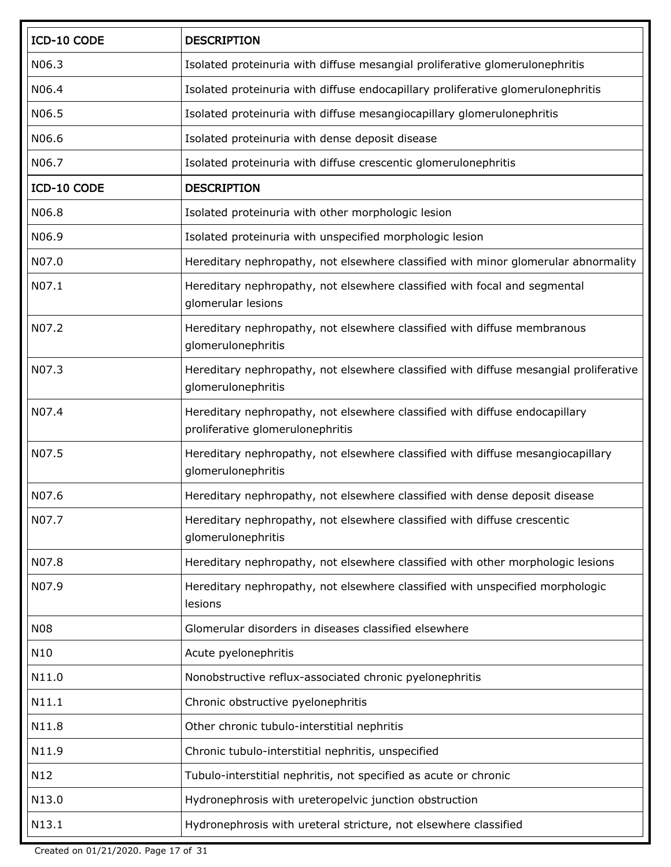| ICD-10 CODE | <b>DESCRIPTION</b>                                                                                              |
|-------------|-----------------------------------------------------------------------------------------------------------------|
| N06.3       | Isolated proteinuria with diffuse mesangial proliferative glomerulonephritis                                    |
| N06.4       | Isolated proteinuria with diffuse endocapillary proliferative glomerulonephritis                                |
| N06.5       | Isolated proteinuria with diffuse mesangiocapillary glomerulonephritis                                          |
| N06.6       | Isolated proteinuria with dense deposit disease                                                                 |
| N06.7       | Isolated proteinuria with diffuse crescentic glomerulonephritis                                                 |
| ICD-10 CODE | <b>DESCRIPTION</b>                                                                                              |
| N06.8       | Isolated proteinuria with other morphologic lesion                                                              |
| N06.9       | Isolated proteinuria with unspecified morphologic lesion                                                        |
| N07.0       | Hereditary nephropathy, not elsewhere classified with minor glomerular abnormality                              |
| N07.1       | Hereditary nephropathy, not elsewhere classified with focal and segmental<br>glomerular lesions                 |
| N07.2       | Hereditary nephropathy, not elsewhere classified with diffuse membranous<br>glomerulonephritis                  |
| N07.3       | Hereditary nephropathy, not elsewhere classified with diffuse mesangial proliferative<br>glomerulonephritis     |
| N07.4       | Hereditary nephropathy, not elsewhere classified with diffuse endocapillary<br>proliferative glomerulonephritis |
| N07.5       | Hereditary nephropathy, not elsewhere classified with diffuse mesangiocapillary<br>glomerulonephritis           |
| N07.6       | Hereditary nephropathy, not elsewhere classified with dense deposit disease                                     |
| N07.7       | Hereditary nephropathy, not elsewhere classified with diffuse crescentic<br>glomerulonephritis                  |
| N07.8       | Hereditary nephropathy, not elsewhere classified with other morphologic lesions                                 |
| N07.9       | Hereditary nephropathy, not elsewhere classified with unspecified morphologic<br>lesions                        |
| <b>N08</b>  | Glomerular disorders in diseases classified elsewhere                                                           |
| N10         | Acute pyelonephritis                                                                                            |
| N11.0       | Nonobstructive reflux-associated chronic pyelonephritis                                                         |
| N11.1       | Chronic obstructive pyelonephritis                                                                              |
| N11.8       | Other chronic tubulo-interstitial nephritis                                                                     |
| N11.9       | Chronic tubulo-interstitial nephritis, unspecified                                                              |
| N12         | Tubulo-interstitial nephritis, not specified as acute or chronic                                                |
| N13.0       | Hydronephrosis with ureteropelvic junction obstruction                                                          |
| N13.1       | Hydronephrosis with ureteral stricture, not elsewhere classified                                                |

Created on 01/21/2020. Page 17 of 31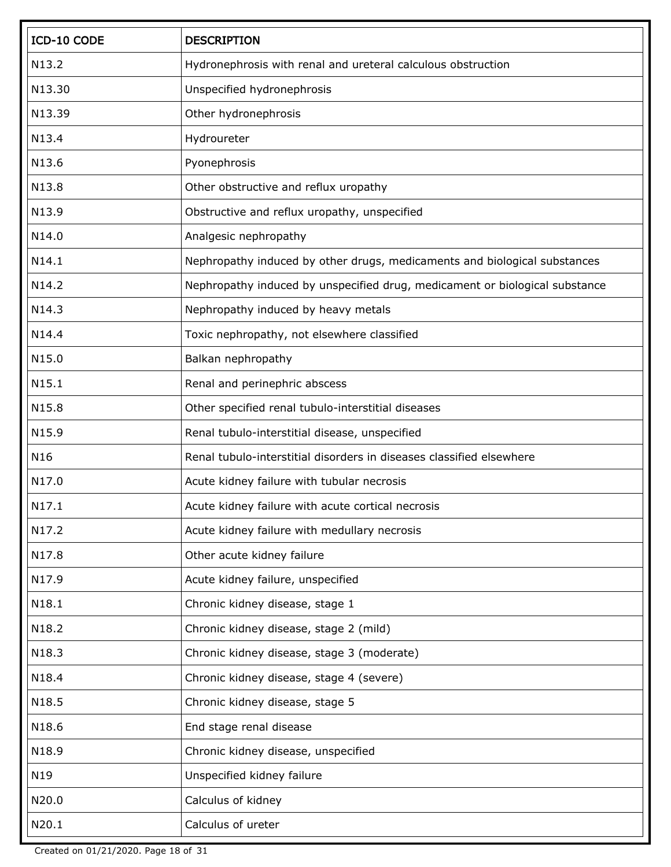| ICD-10 CODE     | <b>DESCRIPTION</b>                                                          |
|-----------------|-----------------------------------------------------------------------------|
| N13.2           | Hydronephrosis with renal and ureteral calculous obstruction                |
| N13.30          | Unspecified hydronephrosis                                                  |
| N13.39          | Other hydronephrosis                                                        |
| N13.4           | Hydroureter                                                                 |
| N13.6           | Pyonephrosis                                                                |
| N13.8           | Other obstructive and reflux uropathy                                       |
| N13.9           | Obstructive and reflux uropathy, unspecified                                |
| N14.0           | Analgesic nephropathy                                                       |
| N14.1           | Nephropathy induced by other drugs, medicaments and biological substances   |
| N14.2           | Nephropathy induced by unspecified drug, medicament or biological substance |
| N14.3           | Nephropathy induced by heavy metals                                         |
| N14.4           | Toxic nephropathy, not elsewhere classified                                 |
| N15.0           | Balkan nephropathy                                                          |
| N15.1           | Renal and perinephric abscess                                               |
| N15.8           | Other specified renal tubulo-interstitial diseases                          |
| N15.9           | Renal tubulo-interstitial disease, unspecified                              |
| N <sub>16</sub> | Renal tubulo-interstitial disorders in diseases classified elsewhere        |
| N17.0           | Acute kidney failure with tubular necrosis                                  |
| N17.1           | Acute kidney failure with acute cortical necrosis                           |
| N17.2           | Acute kidney failure with medullary necrosis                                |
| N17.8           | Other acute kidney failure                                                  |
| N17.9           | Acute kidney failure, unspecified                                           |
| N18.1           | Chronic kidney disease, stage 1                                             |
| N18.2           | Chronic kidney disease, stage 2 (mild)                                      |
| N18.3           | Chronic kidney disease, stage 3 (moderate)                                  |
| N18.4           | Chronic kidney disease, stage 4 (severe)                                    |
| N18.5           | Chronic kidney disease, stage 5                                             |
| N18.6           | End stage renal disease                                                     |
| N18.9           | Chronic kidney disease, unspecified                                         |
| N19             | Unspecified kidney failure                                                  |
| N20.0           | Calculus of kidney                                                          |
| N20.1           | Calculus of ureter                                                          |

Created on 01/21/2020. Page 18 of 31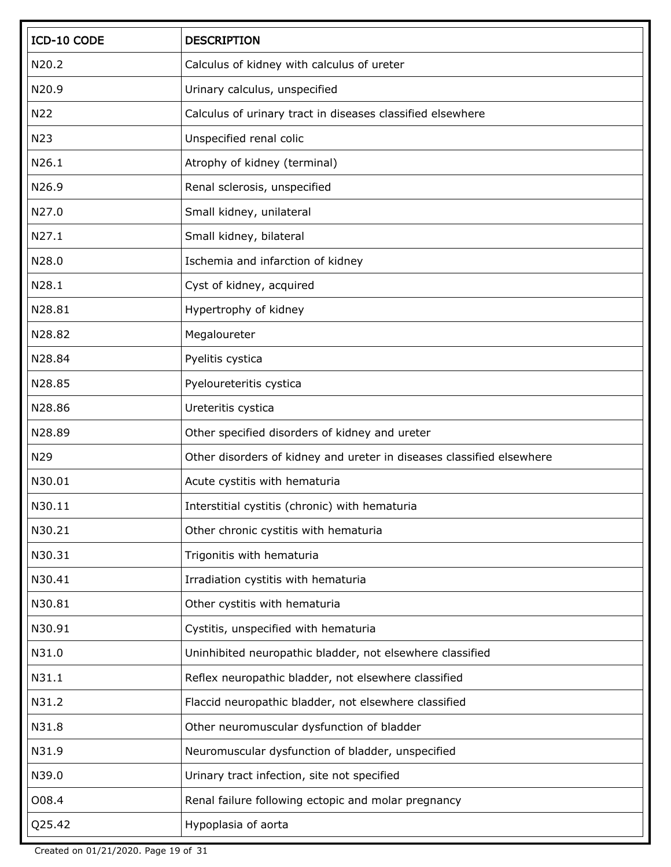| ICD-10 CODE | <b>DESCRIPTION</b>                                                    |
|-------------|-----------------------------------------------------------------------|
| N20.2       | Calculus of kidney with calculus of ureter                            |
| N20.9       | Urinary calculus, unspecified                                         |
| N22         | Calculus of urinary tract in diseases classified elsewhere            |
| N23         | Unspecified renal colic                                               |
| N26.1       | Atrophy of kidney (terminal)                                          |
| N26.9       | Renal sclerosis, unspecified                                          |
| N27.0       | Small kidney, unilateral                                              |
| N27.1       | Small kidney, bilateral                                               |
| N28.0       | Ischemia and infarction of kidney                                     |
| N28.1       | Cyst of kidney, acquired                                              |
| N28.81      | Hypertrophy of kidney                                                 |
| N28.82      | Megaloureter                                                          |
| N28.84      | Pyelitis cystica                                                      |
| N28.85      | Pyeloureteritis cystica                                               |
| N28.86      | Ureteritis cystica                                                    |
| N28.89      | Other specified disorders of kidney and ureter                        |
| N29         | Other disorders of kidney and ureter in diseases classified elsewhere |
| N30.01      | Acute cystitis with hematuria                                         |
| N30.11      | Interstitial cystitis (chronic) with hematuria                        |
| N30.21      | Other chronic cystitis with hematuria                                 |
| N30.31      | Trigonitis with hematuria                                             |
| N30.41      | Irradiation cystitis with hematuria                                   |
| N30.81      | Other cystitis with hematuria                                         |
| N30.91      | Cystitis, unspecified with hematuria                                  |
| N31.0       | Uninhibited neuropathic bladder, not elsewhere classified             |
| N31.1       | Reflex neuropathic bladder, not elsewhere classified                  |
| N31.2       | Flaccid neuropathic bladder, not elsewhere classified                 |
| N31.8       | Other neuromuscular dysfunction of bladder                            |
| N31.9       | Neuromuscular dysfunction of bladder, unspecified                     |
| N39.0       | Urinary tract infection, site not specified                           |
| 008.4       | Renal failure following ectopic and molar pregnancy                   |
| Q25.42      | Hypoplasia of aorta                                                   |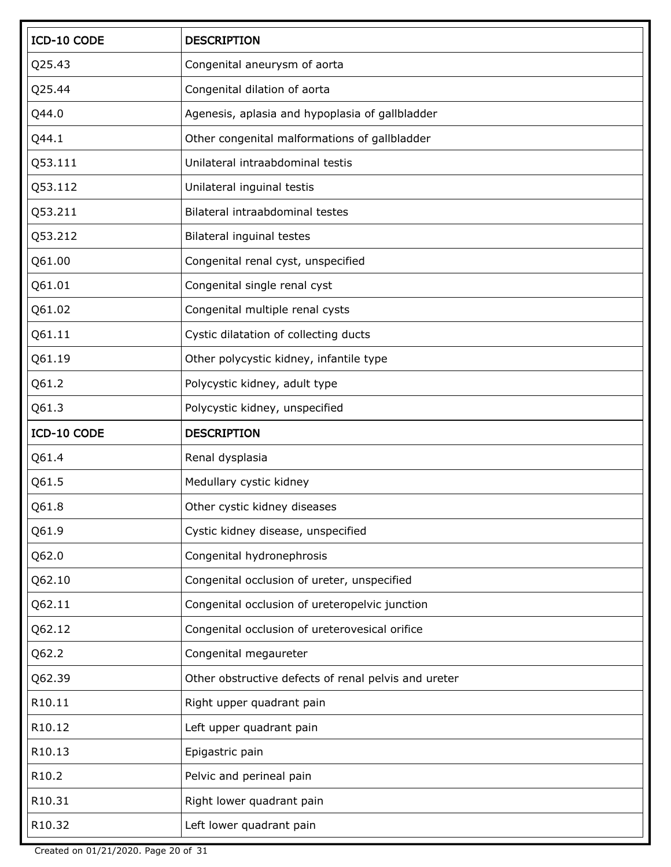| ICD-10 CODE | <b>DESCRIPTION</b>                                   |
|-------------|------------------------------------------------------|
| Q25.43      | Congenital aneurysm of aorta                         |
| Q25.44      | Congenital dilation of aorta                         |
| Q44.0       | Agenesis, aplasia and hypoplasia of gallbladder      |
| Q44.1       | Other congenital malformations of gallbladder        |
| Q53.111     | Unilateral intraabdominal testis                     |
| Q53.112     | Unilateral inguinal testis                           |
| Q53.211     | Bilateral intraabdominal testes                      |
| Q53.212     | Bilateral inguinal testes                            |
| Q61.00      | Congenital renal cyst, unspecified                   |
| Q61.01      | Congenital single renal cyst                         |
| Q61.02      | Congenital multiple renal cysts                      |
| Q61.11      | Cystic dilatation of collecting ducts                |
| Q61.19      | Other polycystic kidney, infantile type              |
| Q61.2       | Polycystic kidney, adult type                        |
| Q61.3       | Polycystic kidney, unspecified                       |
| ICD-10 CODE | <b>DESCRIPTION</b>                                   |
| Q61.4       | Renal dysplasia                                      |
| Q61.5       | Medullary cystic kidney                              |
| Q61.8       | Other cystic kidney diseases                         |
| Q61.9       | Cystic kidney disease, unspecified                   |
| Q62.0       | Congenital hydronephrosis                            |
| Q62.10      | Congenital occlusion of ureter, unspecified          |
| Q62.11      | Congenital occlusion of ureteropelvic junction       |
| Q62.12      | Congenital occlusion of ureterovesical orifice       |
| Q62.2       | Congenital megaureter                                |
| Q62.39      | Other obstructive defects of renal pelvis and ureter |
| R10.11      | Right upper quadrant pain                            |
| R10.12      | Left upper quadrant pain                             |
| R10.13      | Epigastric pain                                      |
| R10.2       | Pelvic and perineal pain                             |
| R10.31      | Right lower quadrant pain                            |
| R10.32      | Left lower quadrant pain                             |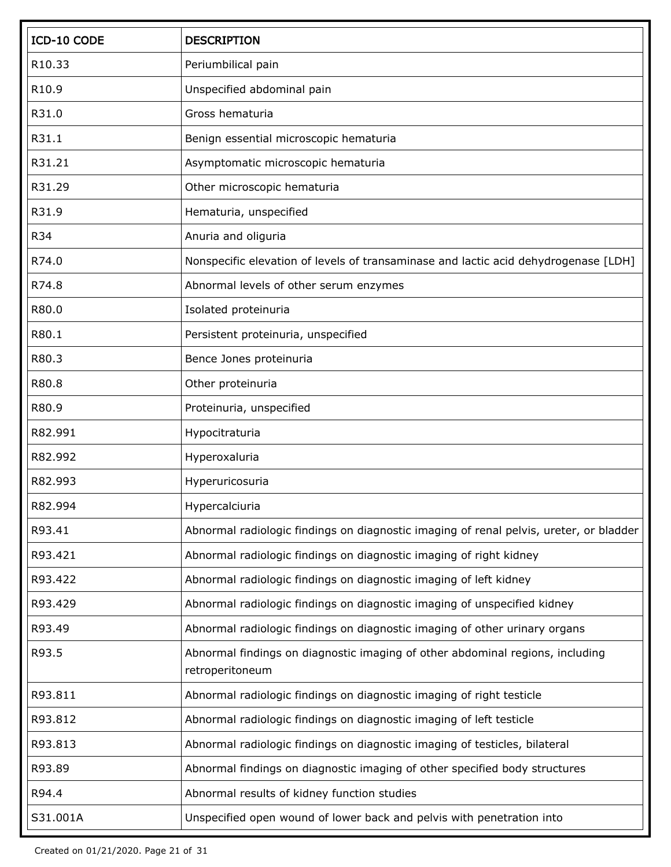| ICD-10 CODE | <b>DESCRIPTION</b>                                                                               |
|-------------|--------------------------------------------------------------------------------------------------|
| R10.33      | Periumbilical pain                                                                               |
| R10.9       | Unspecified abdominal pain                                                                       |
| R31.0       | Gross hematuria                                                                                  |
| R31.1       | Benign essential microscopic hematuria                                                           |
| R31.21      | Asymptomatic microscopic hematuria                                                               |
| R31.29      | Other microscopic hematuria                                                                      |
| R31.9       | Hematuria, unspecified                                                                           |
| R34         | Anuria and oliguria                                                                              |
| R74.0       | Nonspecific elevation of levels of transaminase and lactic acid dehydrogenase [LDH]              |
| R74.8       | Abnormal levels of other serum enzymes                                                           |
| R80.0       | Isolated proteinuria                                                                             |
| R80.1       | Persistent proteinuria, unspecified                                                              |
| R80.3       | Bence Jones proteinuria                                                                          |
| R80.8       | Other proteinuria                                                                                |
| R80.9       | Proteinuria, unspecified                                                                         |
| R82.991     | Hypocitraturia                                                                                   |
| R82.992     | Hyperoxaluria                                                                                    |
| R82.993     | Hyperuricosuria                                                                                  |
| R82.994     | Hypercalciuria                                                                                   |
| R93.41      | Abnormal radiologic findings on diagnostic imaging of renal pelvis, ureter, or bladder           |
| R93.421     | Abnormal radiologic findings on diagnostic imaging of right kidney                               |
| R93.422     | Abnormal radiologic findings on diagnostic imaging of left kidney                                |
| R93.429     | Abnormal radiologic findings on diagnostic imaging of unspecified kidney                         |
| R93.49      | Abnormal radiologic findings on diagnostic imaging of other urinary organs                       |
| R93.5       | Abnormal findings on diagnostic imaging of other abdominal regions, including<br>retroperitoneum |
| R93.811     | Abnormal radiologic findings on diagnostic imaging of right testicle                             |
| R93.812     | Abnormal radiologic findings on diagnostic imaging of left testicle                              |
| R93.813     | Abnormal radiologic findings on diagnostic imaging of testicles, bilateral                       |
| R93.89      | Abnormal findings on diagnostic imaging of other specified body structures                       |
| R94.4       | Abnormal results of kidney function studies                                                      |
| S31.001A    | Unspecified open wound of lower back and pelvis with penetration into                            |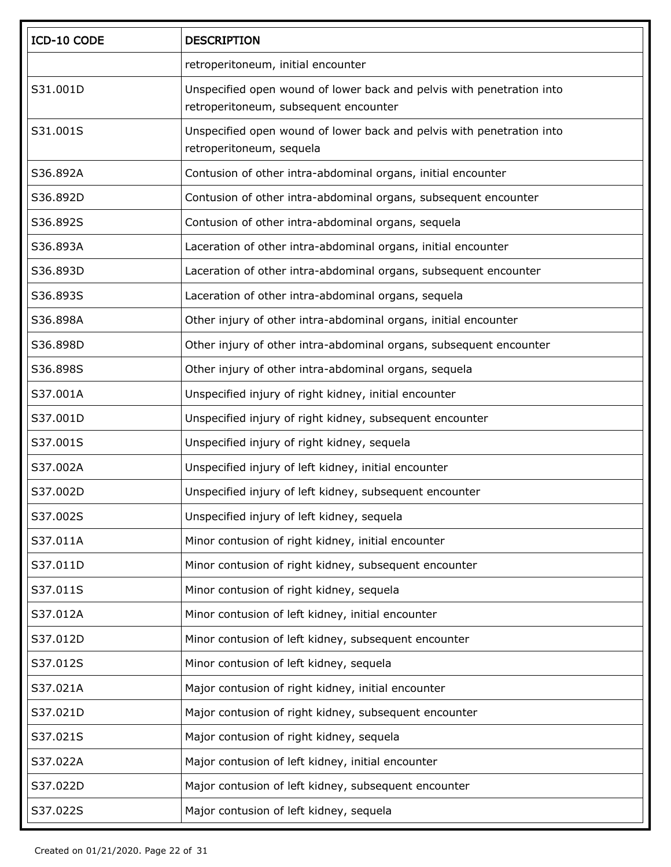| ICD-10 CODE | <b>DESCRIPTION</b>                                                                                             |
|-------------|----------------------------------------------------------------------------------------------------------------|
|             | retroperitoneum, initial encounter                                                                             |
| S31.001D    | Unspecified open wound of lower back and pelvis with penetration into<br>retroperitoneum, subsequent encounter |
| S31.001S    | Unspecified open wound of lower back and pelvis with penetration into<br>retroperitoneum, sequela              |
| S36.892A    | Contusion of other intra-abdominal organs, initial encounter                                                   |
| S36.892D    | Contusion of other intra-abdominal organs, subsequent encounter                                                |
| S36.892S    | Contusion of other intra-abdominal organs, sequela                                                             |
| S36.893A    | Laceration of other intra-abdominal organs, initial encounter                                                  |
| S36.893D    | Laceration of other intra-abdominal organs, subsequent encounter                                               |
| S36.893S    | Laceration of other intra-abdominal organs, sequela                                                            |
| S36.898A    | Other injury of other intra-abdominal organs, initial encounter                                                |
| S36.898D    | Other injury of other intra-abdominal organs, subsequent encounter                                             |
| S36.898S    | Other injury of other intra-abdominal organs, sequela                                                          |
| S37.001A    | Unspecified injury of right kidney, initial encounter                                                          |
| S37.001D    | Unspecified injury of right kidney, subsequent encounter                                                       |
| S37.001S    | Unspecified injury of right kidney, sequela                                                                    |
| S37.002A    | Unspecified injury of left kidney, initial encounter                                                           |
| S37.002D    | Unspecified injury of left kidney, subsequent encounter                                                        |
| S37.002S    | Unspecified injury of left kidney, sequela                                                                     |
| S37.011A    | Minor contusion of right kidney, initial encounter                                                             |
| S37.011D    | Minor contusion of right kidney, subsequent encounter                                                          |
| S37.011S    | Minor contusion of right kidney, sequela                                                                       |
| S37.012A    | Minor contusion of left kidney, initial encounter                                                              |
| S37.012D    | Minor contusion of left kidney, subsequent encounter                                                           |
| S37.012S    | Minor contusion of left kidney, sequela                                                                        |
| S37.021A    | Major contusion of right kidney, initial encounter                                                             |
| S37.021D    | Major contusion of right kidney, subsequent encounter                                                          |
| S37.021S    | Major contusion of right kidney, sequela                                                                       |
| S37.022A    | Major contusion of left kidney, initial encounter                                                              |
| S37.022D    | Major contusion of left kidney, subsequent encounter                                                           |
| S37.022S    | Major contusion of left kidney, sequela                                                                        |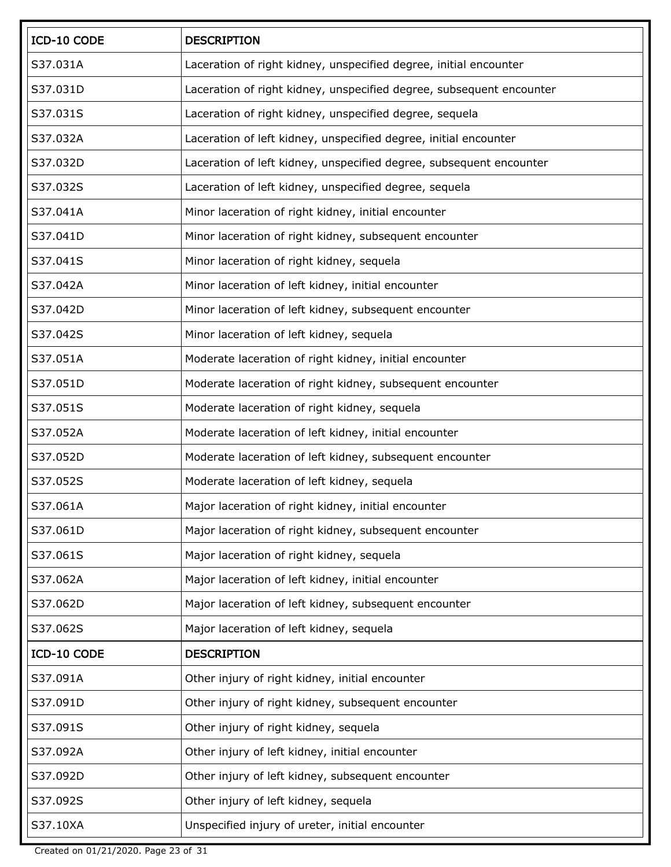| ICD-10 CODE | <b>DESCRIPTION</b>                                                   |
|-------------|----------------------------------------------------------------------|
| S37.031A    | Laceration of right kidney, unspecified degree, initial encounter    |
| S37.031D    | Laceration of right kidney, unspecified degree, subsequent encounter |
| S37.031S    | Laceration of right kidney, unspecified degree, sequela              |
| S37.032A    | Laceration of left kidney, unspecified degree, initial encounter     |
| S37.032D    | Laceration of left kidney, unspecified degree, subsequent encounter  |
| S37.032S    | Laceration of left kidney, unspecified degree, sequela               |
| S37.041A    | Minor laceration of right kidney, initial encounter                  |
| S37.041D    | Minor laceration of right kidney, subsequent encounter               |
| S37.041S    | Minor laceration of right kidney, sequela                            |
| S37.042A    | Minor laceration of left kidney, initial encounter                   |
| S37.042D    | Minor laceration of left kidney, subsequent encounter                |
| S37.042S    | Minor laceration of left kidney, sequela                             |
| S37.051A    | Moderate laceration of right kidney, initial encounter               |
| S37.051D    | Moderate laceration of right kidney, subsequent encounter            |
| S37.051S    | Moderate laceration of right kidney, sequela                         |
| S37.052A    | Moderate laceration of left kidney, initial encounter                |
| S37.052D    | Moderate laceration of left kidney, subsequent encounter             |
| S37.052S    | Moderate laceration of left kidney, sequela                          |
| S37.061A    | Major laceration of right kidney, initial encounter                  |
| S37.061D    | Major laceration of right kidney, subsequent encounter               |
| S37.061S    | Major laceration of right kidney, sequela                            |
| S37.062A    | Major laceration of left kidney, initial encounter                   |
| S37.062D    | Major laceration of left kidney, subsequent encounter                |
| S37.062S    | Major laceration of left kidney, sequela                             |
| ICD-10 CODE | <b>DESCRIPTION</b>                                                   |
| S37.091A    | Other injury of right kidney, initial encounter                      |
| S37.091D    | Other injury of right kidney, subsequent encounter                   |
| S37.091S    | Other injury of right kidney, sequela                                |
| S37.092A    | Other injury of left kidney, initial encounter                       |
| S37.092D    | Other injury of left kidney, subsequent encounter                    |
| S37.092S    | Other injury of left kidney, sequela                                 |
| S37.10XA    | Unspecified injury of ureter, initial encounter                      |

Created on 01/21/2020. Page 23 of 31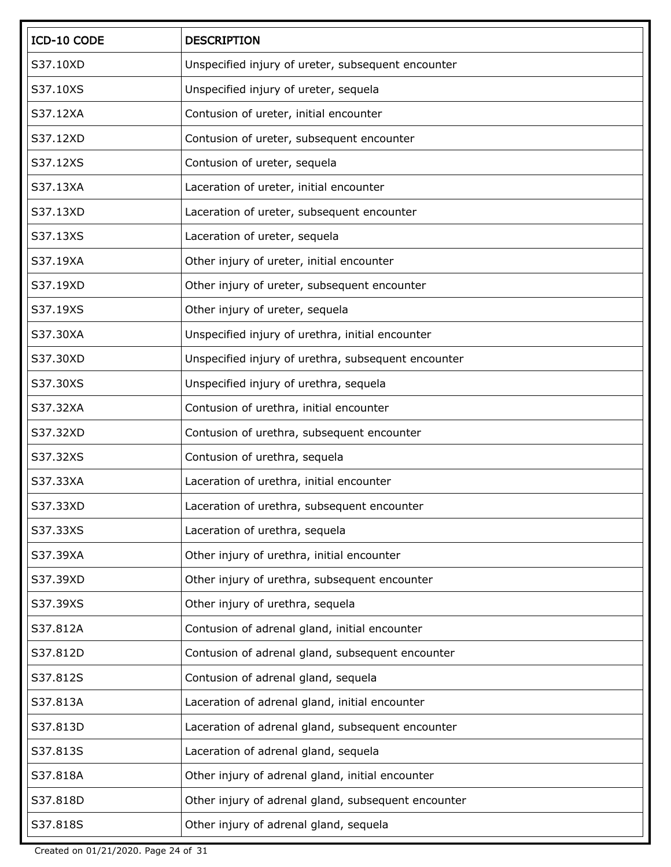| ICD-10 CODE | <b>DESCRIPTION</b>                                  |
|-------------|-----------------------------------------------------|
| S37.10XD    | Unspecified injury of ureter, subsequent encounter  |
| S37.10XS    | Unspecified injury of ureter, sequela               |
| S37.12XA    | Contusion of ureter, initial encounter              |
| S37.12XD    | Contusion of ureter, subsequent encounter           |
| S37.12XS    | Contusion of ureter, sequela                        |
| S37.13XA    | Laceration of ureter, initial encounter             |
| S37.13XD    | Laceration of ureter, subsequent encounter          |
| S37.13XS    | Laceration of ureter, sequela                       |
| S37.19XA    | Other injury of ureter, initial encounter           |
| S37.19XD    | Other injury of ureter, subsequent encounter        |
| S37.19XS    | Other injury of ureter, sequela                     |
| S37.30XA    | Unspecified injury of urethra, initial encounter    |
| S37.30XD    | Unspecified injury of urethra, subsequent encounter |
| S37.30XS    | Unspecified injury of urethra, sequela              |
| S37.32XA    | Contusion of urethra, initial encounter             |
| S37.32XD    | Contusion of urethra, subsequent encounter          |
| S37.32XS    | Contusion of urethra, sequela                       |
| S37.33XA    | Laceration of urethra, initial encounter            |
| S37.33XD    | Laceration of urethra, subsequent encounter         |
| S37.33XS    | Laceration of urethra, sequela                      |
| S37.39XA    | Other injury of urethra, initial encounter          |
| S37.39XD    | Other injury of urethra, subsequent encounter       |
| S37.39XS    | Other injury of urethra, sequela                    |
| S37.812A    | Contusion of adrenal gland, initial encounter       |
| S37.812D    | Contusion of adrenal gland, subsequent encounter    |
| S37.812S    | Contusion of adrenal gland, sequela                 |
| S37.813A    | Laceration of adrenal gland, initial encounter      |
| S37.813D    | Laceration of adrenal gland, subsequent encounter   |
| S37.813S    | Laceration of adrenal gland, sequela                |
| S37.818A    | Other injury of adrenal gland, initial encounter    |
| S37.818D    | Other injury of adrenal gland, subsequent encounter |
| S37.818S    | Other injury of adrenal gland, sequela              |

Created on 01/21/2020. Page 24 of 31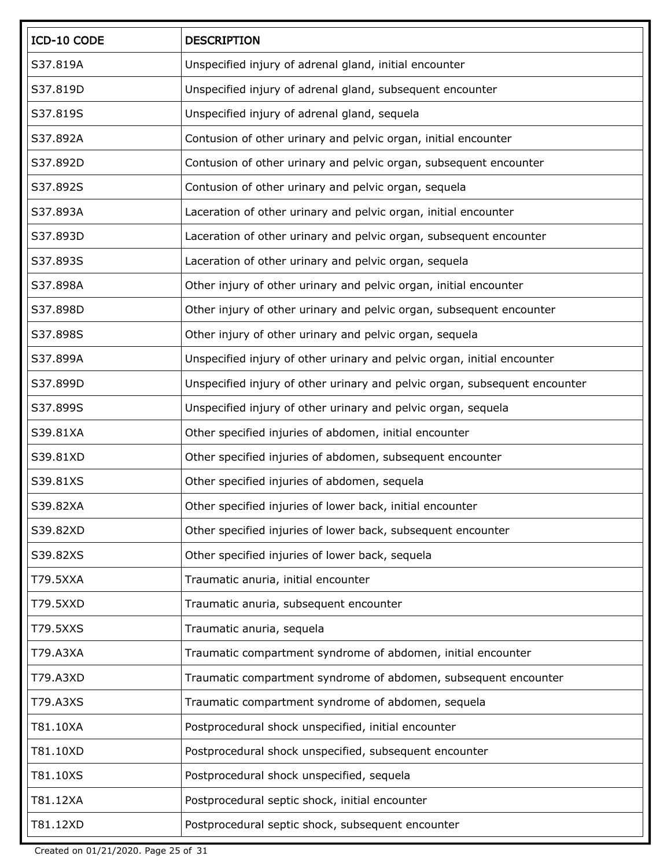| ICD-10 CODE | <b>DESCRIPTION</b>                                                         |
|-------------|----------------------------------------------------------------------------|
| S37.819A    | Unspecified injury of adrenal gland, initial encounter                     |
| S37.819D    | Unspecified injury of adrenal gland, subsequent encounter                  |
| S37.819S    | Unspecified injury of adrenal gland, sequela                               |
| S37.892A    | Contusion of other urinary and pelvic organ, initial encounter             |
| S37.892D    | Contusion of other urinary and pelvic organ, subsequent encounter          |
| S37.892S    | Contusion of other urinary and pelvic organ, sequela                       |
| S37.893A    | Laceration of other urinary and pelvic organ, initial encounter            |
| S37.893D    | Laceration of other urinary and pelvic organ, subsequent encounter         |
| S37.893S    | Laceration of other urinary and pelvic organ, sequela                      |
| S37.898A    | Other injury of other urinary and pelvic organ, initial encounter          |
| S37.898D    | Other injury of other urinary and pelvic organ, subsequent encounter       |
| S37.898S    | Other injury of other urinary and pelvic organ, sequela                    |
| S37.899A    | Unspecified injury of other urinary and pelvic organ, initial encounter    |
| S37.899D    | Unspecified injury of other urinary and pelvic organ, subsequent encounter |
| S37.899S    | Unspecified injury of other urinary and pelvic organ, sequela              |
| S39.81XA    | Other specified injuries of abdomen, initial encounter                     |
| S39.81XD    | Other specified injuries of abdomen, subsequent encounter                  |
| S39.81XS    | Other specified injuries of abdomen, sequela                               |
| S39.82XA    | Other specified injuries of lower back, initial encounter                  |
| S39.82XD    | Other specified injuries of lower back, subsequent encounter               |
| S39.82XS    | Other specified injuries of lower back, sequela                            |
| T79.5XXA    | Traumatic anuria, initial encounter                                        |
| T79.5XXD    | Traumatic anuria, subsequent encounter                                     |
| T79.5XXS    | Traumatic anuria, sequela                                                  |
| T79.A3XA    | Traumatic compartment syndrome of abdomen, initial encounter               |
| T79.A3XD    | Traumatic compartment syndrome of abdomen, subsequent encounter            |
| T79.A3XS    | Traumatic compartment syndrome of abdomen, sequela                         |
| T81.10XA    | Postprocedural shock unspecified, initial encounter                        |
| T81.10XD    | Postprocedural shock unspecified, subsequent encounter                     |
| T81.10XS    | Postprocedural shock unspecified, sequela                                  |
| T81.12XA    | Postprocedural septic shock, initial encounter                             |
| T81.12XD    | Postprocedural septic shock, subsequent encounter                          |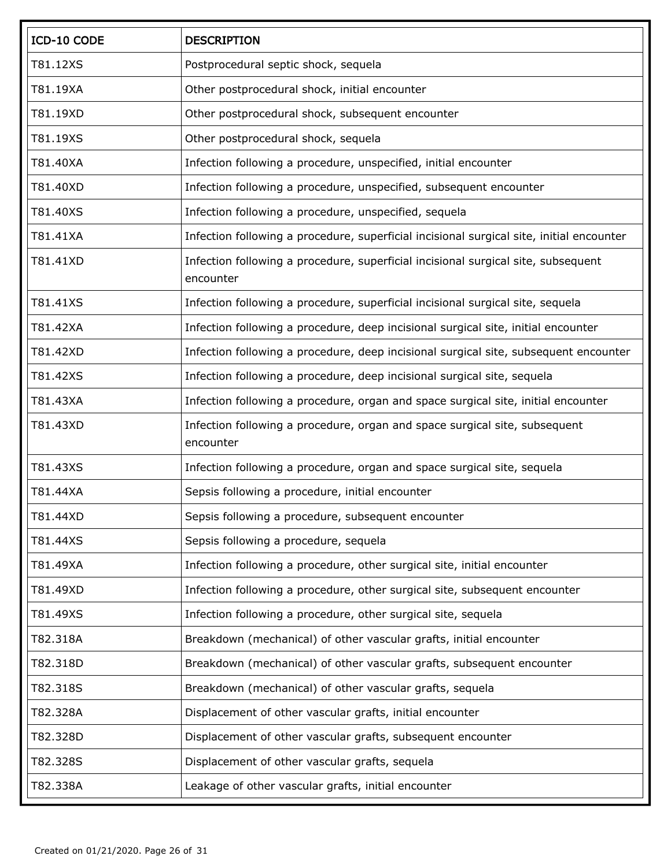| ICD-10 CODE | <b>DESCRIPTION</b>                                                                             |
|-------------|------------------------------------------------------------------------------------------------|
| T81.12XS    | Postprocedural septic shock, sequela                                                           |
| T81.19XA    | Other postprocedural shock, initial encounter                                                  |
| T81.19XD    | Other postprocedural shock, subsequent encounter                                               |
| T81.19XS    | Other postprocedural shock, sequela                                                            |
| T81.40XA    | Infection following a procedure, unspecified, initial encounter                                |
| T81.40XD    | Infection following a procedure, unspecified, subsequent encounter                             |
| T81.40XS    | Infection following a procedure, unspecified, sequela                                          |
| T81.41XA    | Infection following a procedure, superficial incisional surgical site, initial encounter       |
| T81.41XD    | Infection following a procedure, superficial incisional surgical site, subsequent<br>encounter |
| T81.41XS    | Infection following a procedure, superficial incisional surgical site, sequela                 |
| T81.42XA    | Infection following a procedure, deep incisional surgical site, initial encounter              |
| T81.42XD    | Infection following a procedure, deep incisional surgical site, subsequent encounter           |
| T81.42XS    | Infection following a procedure, deep incisional surgical site, sequela                        |
| T81.43XA    | Infection following a procedure, organ and space surgical site, initial encounter              |
| T81.43XD    | Infection following a procedure, organ and space surgical site, subsequent<br>encounter        |
| T81.43XS    | Infection following a procedure, organ and space surgical site, sequela                        |
| T81.44XA    | Sepsis following a procedure, initial encounter                                                |
| T81.44XD    | Sepsis following a procedure, subsequent encounter                                             |
| T81.44XS    | Sepsis following a procedure, sequela                                                          |
| T81.49XA    | Infection following a procedure, other surgical site, initial encounter                        |
| T81.49XD    | Infection following a procedure, other surgical site, subsequent encounter                     |
| T81.49XS    | Infection following a procedure, other surgical site, sequela                                  |
| T82.318A    | Breakdown (mechanical) of other vascular grafts, initial encounter                             |
| T82.318D    | Breakdown (mechanical) of other vascular grafts, subsequent encounter                          |
| T82.318S    | Breakdown (mechanical) of other vascular grafts, sequela                                       |
| T82.328A    | Displacement of other vascular grafts, initial encounter                                       |
| T82.328D    | Displacement of other vascular grafts, subsequent encounter                                    |
| T82.328S    | Displacement of other vascular grafts, sequela                                                 |
| T82.338A    | Leakage of other vascular grafts, initial encounter                                            |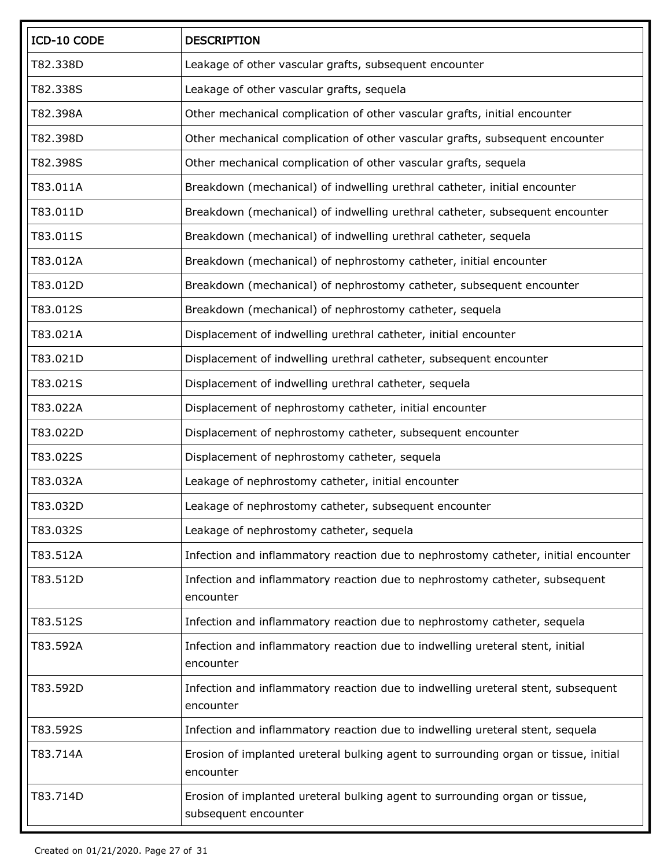| ICD-10 CODE | <b>DESCRIPTION</b>                                                                                  |
|-------------|-----------------------------------------------------------------------------------------------------|
| T82.338D    | Leakage of other vascular grafts, subsequent encounter                                              |
| T82.338S    | Leakage of other vascular grafts, sequela                                                           |
| T82.398A    | Other mechanical complication of other vascular grafts, initial encounter                           |
| T82.398D    | Other mechanical complication of other vascular grafts, subsequent encounter                        |
| T82.398S    | Other mechanical complication of other vascular grafts, sequela                                     |
| T83.011A    | Breakdown (mechanical) of indwelling urethral catheter, initial encounter                           |
| T83.011D    | Breakdown (mechanical) of indwelling urethral catheter, subsequent encounter                        |
| T83.011S    | Breakdown (mechanical) of indwelling urethral catheter, sequela                                     |
| T83.012A    | Breakdown (mechanical) of nephrostomy catheter, initial encounter                                   |
| T83.012D    | Breakdown (mechanical) of nephrostomy catheter, subsequent encounter                                |
| T83.012S    | Breakdown (mechanical) of nephrostomy catheter, sequela                                             |
| T83.021A    | Displacement of indwelling urethral catheter, initial encounter                                     |
| T83.021D    | Displacement of indwelling urethral catheter, subsequent encounter                                  |
| T83.021S    | Displacement of indwelling urethral catheter, sequela                                               |
| T83.022A    | Displacement of nephrostomy catheter, initial encounter                                             |
| T83.022D    | Displacement of nephrostomy catheter, subsequent encounter                                          |
| T83.022S    | Displacement of nephrostomy catheter, sequela                                                       |
| T83.032A    | Leakage of nephrostomy catheter, initial encounter                                                  |
| T83.032D    | Leakage of nephrostomy catheter, subsequent encounter                                               |
| T83.032S    | Leakage of nephrostomy catheter, sequela                                                            |
| T83.512A    | Infection and inflammatory reaction due to nephrostomy catheter, initial encounter                  |
| T83.512D    | Infection and inflammatory reaction due to nephrostomy catheter, subsequent<br>encounter            |
| T83.512S    | Infection and inflammatory reaction due to nephrostomy catheter, sequela                            |
| T83.592A    | Infection and inflammatory reaction due to indwelling ureteral stent, initial<br>encounter          |
| T83.592D    | Infection and inflammatory reaction due to indwelling ureteral stent, subsequent<br>encounter       |
| T83.592S    | Infection and inflammatory reaction due to indwelling ureteral stent, sequela                       |
| T83.714A    | Erosion of implanted ureteral bulking agent to surrounding organ or tissue, initial<br>encounter    |
| T83.714D    | Erosion of implanted ureteral bulking agent to surrounding organ or tissue,<br>subsequent encounter |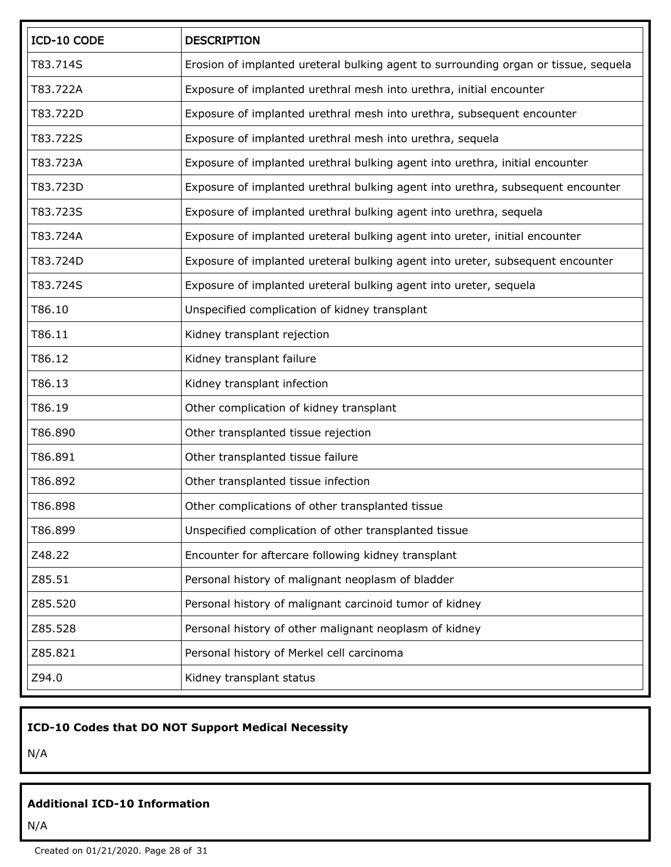| ICD-10 CODE | <b>DESCRIPTION</b>                                                                  |
|-------------|-------------------------------------------------------------------------------------|
| T83.714S    | Erosion of implanted ureteral bulking agent to surrounding organ or tissue, sequela |
| T83.722A    | Exposure of implanted urethral mesh into urethra, initial encounter                 |
| T83.722D    | Exposure of implanted urethral mesh into urethra, subsequent encounter              |
| T83.722S    | Exposure of implanted urethral mesh into urethra, sequela                           |
| T83.723A    | Exposure of implanted urethral bulking agent into urethra, initial encounter        |
| T83.723D    | Exposure of implanted urethral bulking agent into urethra, subsequent encounter     |
| T83.723S    | Exposure of implanted urethral bulking agent into urethra, sequela                  |
| T83.724A    | Exposure of implanted ureteral bulking agent into ureter, initial encounter         |
| T83.724D    | Exposure of implanted ureteral bulking agent into ureter, subsequent encounter      |
| T83.724S    | Exposure of implanted ureteral bulking agent into ureter, sequela                   |
| T86.10      | Unspecified complication of kidney transplant                                       |
| T86.11      | Kidney transplant rejection                                                         |
| T86.12      | Kidney transplant failure                                                           |
| T86.13      | Kidney transplant infection                                                         |
| T86.19      | Other complication of kidney transplant                                             |
| T86.890     | Other transplanted tissue rejection                                                 |
| T86.891     | Other transplanted tissue failure                                                   |
| T86.892     | Other transplanted tissue infection                                                 |
| T86.898     | Other complications of other transplanted tissue                                    |
| T86.899     | Unspecified complication of other transplanted tissue                               |
| Z48.22      | Encounter for aftercare following kidney transplant                                 |
| Z85.51      | Personal history of malignant neoplasm of bladder                                   |
| Z85.520     | Personal history of malignant carcinoid tumor of kidney                             |
| Z85.528     | Personal history of other malignant neoplasm of kidney                              |
| Z85.821     | Personal history of Merkel cell carcinoma                                           |
| Z94.0       | Kidney transplant status                                                            |

### **ICD-10 Codes that DO NOT Support Medical Necessity**

N/A

## **Additional ICD-10 Information**

N/A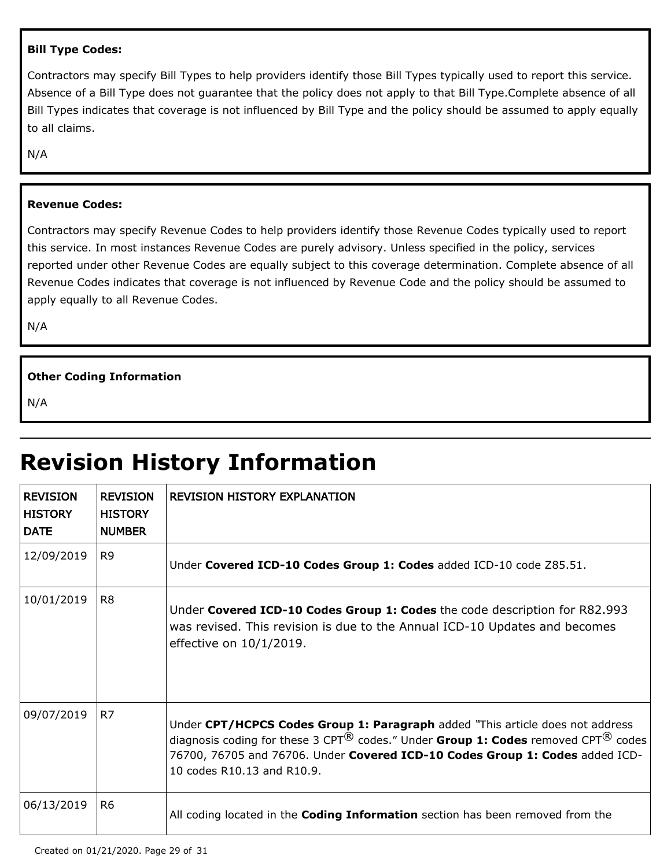#### **Bill Type Codes:**

Contractors may specify Bill Types to help providers identify those Bill Types typically used to report this service. Absence of a Bill Type does not guarantee that the policy does not apply to that Bill Type.Complete absence of all Bill Types indicates that coverage is not influenced by Bill Type and the policy should be assumed to apply equally to all claims.

N/A

#### **Revenue Codes:**

Contractors may specify Revenue Codes to help providers identify those Revenue Codes typically used to report this service. In most instances Revenue Codes are purely advisory. Unless specified in the policy, services reported under other Revenue Codes are equally subject to this coverage determination. Complete absence of all Revenue Codes indicates that coverage is not influenced by Revenue Code and the policy should be assumed to apply equally to all Revenue Codes.

N/A

#### **Other Coding Information**

N/A

# **Revision History Information**

| <b>REVISION</b><br><b>HISTORY</b><br><b>DATE</b> | <b>REVISION</b><br><b>HISTORY</b><br><b>NUMBER</b> | <b>REVISION HISTORY EXPLANATION</b>                                                                                                                                                                                                                                                              |
|--------------------------------------------------|----------------------------------------------------|--------------------------------------------------------------------------------------------------------------------------------------------------------------------------------------------------------------------------------------------------------------------------------------------------|
| 12/09/2019                                       | R <sub>9</sub>                                     | Under Covered ICD-10 Codes Group 1: Codes added ICD-10 code Z85.51.                                                                                                                                                                                                                              |
| 10/01/2019                                       | R <sub>8</sub>                                     | Under Covered ICD-10 Codes Group 1: Codes the code description for R82.993<br>was revised. This revision is due to the Annual ICD-10 Updates and becomes<br>effective on 10/1/2019.                                                                                                              |
| 09/07/2019                                       | R7                                                 | Under CPT/HCPCS Codes Group 1: Paragraph added "This article does not address<br>diagnosis coding for these 3 CPT $^{(8)}$ codes." Under Group 1: Codes removed CPT $^{(8)}$ codes<br>76700, 76705 and 76706. Under Covered ICD-10 Codes Group 1: Codes added ICD-<br>10 codes R10.13 and R10.9. |
| 06/13/2019                                       | R <sub>6</sub>                                     | All coding located in the <b>Coding Information</b> section has been removed from the                                                                                                                                                                                                            |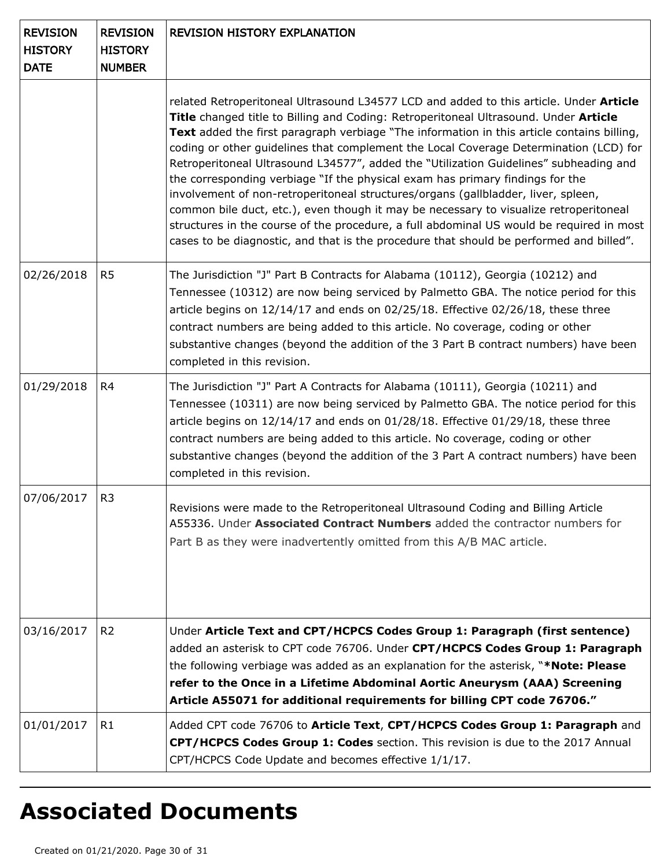| <b>REVISION</b><br><b>HISTORY</b><br><b>DATE</b> | <b>REVISION</b><br><b>HISTORY</b><br><b>NUMBER</b> | <b>REVISION HISTORY EXPLANATION</b>                                                                                                                                                                                                                                                                                                                                                                                                                                                                                                                                                                                                                                                                                                                                                                                                                                                                                  |
|--------------------------------------------------|----------------------------------------------------|----------------------------------------------------------------------------------------------------------------------------------------------------------------------------------------------------------------------------------------------------------------------------------------------------------------------------------------------------------------------------------------------------------------------------------------------------------------------------------------------------------------------------------------------------------------------------------------------------------------------------------------------------------------------------------------------------------------------------------------------------------------------------------------------------------------------------------------------------------------------------------------------------------------------|
|                                                  |                                                    | related Retroperitoneal Ultrasound L34577 LCD and added to this article. Under Article<br>Title changed title to Billing and Coding: Retroperitoneal Ultrasound. Under Article<br>Text added the first paragraph verbiage "The information in this article contains billing,<br>coding or other guidelines that complement the Local Coverage Determination (LCD) for<br>Retroperitoneal Ultrasound L34577", added the "Utilization Guidelines" subheading and<br>the corresponding verbiage "If the physical exam has primary findings for the<br>involvement of non-retroperitoneal structures/organs (gallbladder, liver, spleen,<br>common bile duct, etc.), even though it may be necessary to visualize retroperitoneal<br>structures in the course of the procedure, a full abdominal US would be required in most<br>cases to be diagnostic, and that is the procedure that should be performed and billed". |
| 02/26/2018                                       | R <sub>5</sub>                                     | The Jurisdiction "J" Part B Contracts for Alabama (10112), Georgia (10212) and<br>Tennessee (10312) are now being serviced by Palmetto GBA. The notice period for this<br>article begins on $12/14/17$ and ends on $02/25/18$ . Effective $02/26/18$ , these three<br>contract numbers are being added to this article. No coverage, coding or other<br>substantive changes (beyond the addition of the 3 Part B contract numbers) have been<br>completed in this revision.                                                                                                                                                                                                                                                                                                                                                                                                                                          |
| 01/29/2018                                       | R4                                                 | The Jurisdiction "J" Part A Contracts for Alabama (10111), Georgia (10211) and<br>Tennessee (10311) are now being serviced by Palmetto GBA. The notice period for this<br>article begins on 12/14/17 and ends on 01/28/18. Effective 01/29/18, these three<br>contract numbers are being added to this article. No coverage, coding or other<br>substantive changes (beyond the addition of the 3 Part A contract numbers) have been<br>completed in this revision.                                                                                                                                                                                                                                                                                                                                                                                                                                                  |
| 07/06/2017                                       | R <sub>3</sub>                                     | Revisions were made to the Retroperitoneal Ultrasound Coding and Billing Article<br>A55336. Under Associated Contract Numbers added the contractor numbers for<br>Part B as they were inadvertently omitted from this A/B MAC article.                                                                                                                                                                                                                                                                                                                                                                                                                                                                                                                                                                                                                                                                               |
| 03/16/2017                                       | R <sub>2</sub>                                     | Under Article Text and CPT/HCPCS Codes Group 1: Paragraph (first sentence)<br>added an asterisk to CPT code 76706. Under CPT/HCPCS Codes Group 1: Paragraph<br>the following verbiage was added as an explanation for the asterisk, "*Note: Please<br>refer to the Once in a Lifetime Abdominal Aortic Aneurysm (AAA) Screening<br>Article A55071 for additional requirements for billing CPT code 76706."                                                                                                                                                                                                                                                                                                                                                                                                                                                                                                           |
| 01/01/2017                                       | R1                                                 | Added CPT code 76706 to Article Text, CPT/HCPCS Codes Group 1: Paragraph and<br>CPT/HCPCS Codes Group 1: Codes section. This revision is due to the 2017 Annual<br>CPT/HCPCS Code Update and becomes effective 1/1/17.                                                                                                                                                                                                                                                                                                                                                                                                                                                                                                                                                                                                                                                                                               |

# **Associated Documents**